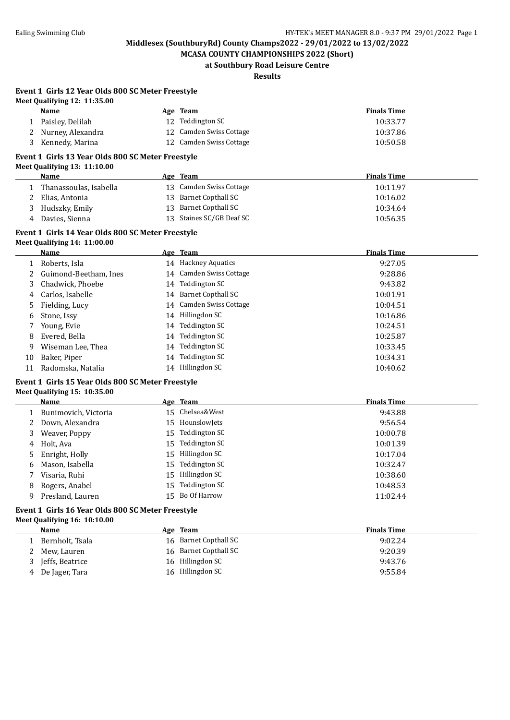**MCASA COUNTY CHAMPIONSHIPS 2022 (Short) at Southbury Road Leisure Centre**

# **Results**

#### **Event 1 Girls 12 Year Olds 800 SC Meter Freestyle Meet Qualifying 12: 11:35.00**

|    | меет дианнунів 14. 11.55.00<br>Name                                               |    | Age Team                  | <b>Finals Time</b> |
|----|-----------------------------------------------------------------------------------|----|---------------------------|--------------------|
| 1  | Paisley, Delilah                                                                  |    | 12 Teddington SC          | 10:33.77           |
| 2  | Nurney, Alexandra                                                                 |    | 12 Camden Swiss Cottage   | 10:37.86           |
| 3  | Kennedy, Marina                                                                   |    | 12 Camden Swiss Cottage   | 10:50.58           |
|    | Event 1 Girls 13 Year Olds 800 SC Meter Freestyle                                 |    |                           |                    |
|    | Meet Qualifying 13: 11:10.00                                                      |    |                           |                    |
|    | <b>Name</b>                                                                       |    | Age Team                  | <b>Finals Time</b> |
| 1  | Thanassoulas, Isabella                                                            |    | 13 Camden Swiss Cottage   | 10:11.97           |
| 2  | Elias, Antonia                                                                    | 13 | <b>Barnet Copthall SC</b> | 10:16.02           |
| 3  | Hudszky, Emily                                                                    |    | 13 Barnet Copthall SC     | 10:34.64           |
| 4  | Davies, Sienna                                                                    |    | 13 Staines SC/GB Deaf SC  | 10:56.35           |
|    | Event 1 Girls 14 Year Olds 800 SC Meter Freestyle                                 |    |                           |                    |
|    | Meet Qualifying 14: 11:00.00                                                      |    |                           |                    |
|    | <b>Name</b>                                                                       |    | Age Team                  | <b>Finals Time</b> |
| 1  | Roberts, Isla                                                                     |    | 14 Hackney Aquatics       | 9:27.05            |
| 2  | Guimond-Beetham, Ines                                                             |    | 14 Camden Swiss Cottage   | 9:28.86            |
| 3  | Chadwick, Phoebe                                                                  |    | 14 Teddington SC          | 9:43.82            |
| 4  | Carlos, Isabelle                                                                  |    | 14 Barnet Copthall SC     | 10:01.91           |
| 5  | Fielding, Lucy                                                                    |    | 14 Camden Swiss Cottage   | 10:04.51           |
| 6  | Stone, Issy                                                                       |    | 14 Hillingdon SC          | 10:16.86           |
| 7  | Young, Evie                                                                       |    | 14 Teddington SC          | 10:24.51           |
| 8  | Evered, Bella                                                                     |    | 14 Teddington SC          | 10:25.87           |
| 9  | Wiseman Lee, Thea                                                                 |    | 14 Teddington SC          | 10:33.45           |
| 10 | Baker, Piper                                                                      |    | 14 Teddington SC          | 10:34.31           |
| 11 | Radomska, Natalia                                                                 |    | 14 Hillingdon SC          | 10:40.62           |
|    | Event 1 Girls 15 Year Olds 800 SC Meter Freestyle<br>Meet Qualifying 15: 10:35.00 |    |                           |                    |
|    | Name                                                                              |    | Age Team                  | <b>Finals Time</b> |
| 1  | Bunimovich, Victoria                                                              |    | 15 Chelsea&West           | 9:43.88            |
| 2  | Down, Alexandra                                                                   | 15 | HounslowJets              | 9:56.54            |
| 3  | Weaver, Poppy                                                                     | 15 | <b>Teddington SC</b>      | 10:00.78           |
| 4  | Holt, Ava                                                                         | 15 | <b>Teddington SC</b>      | 10:01.39           |
| 5  | Enright, Holly                                                                    |    | 15 Hillingdon SC          | 10:17.04           |

# 8 Rogers, Anabel 15 Teddington SC 10:48.53<br>
9 Presland Lauren 15 Bo Of Harrow 11:02.44 9 Presland, Lauren 15 Bo Of Harrow 11:02.44

 $\overline{a}$ 

### **Event 1 Girls 16 Year Olds 800 SC Meter Freestyle Meet Qualifying 16: 10:10.00**

| <b>Name</b>       | Age Team              | <b>Finals Time</b> |
|-------------------|-----------------------|--------------------|
| Bernholt, Tsala   | 16 Barnet Copthall SC | 9:02.24            |
| 2 Mew, Lauren     | 16 Barnet Copthall SC | 9:20.39            |
| 3 Jeffs, Beatrice | 16 Hillingdon SC      | 9:43.76            |
| 4 De Jager, Tara  | 16 Hillingdon SC      | 9:55.84            |

6 Mason, Isabella 15 Teddington SC 10:32.47 7 Visaria, Ruhi 15 Hillingdon SC 10:38.60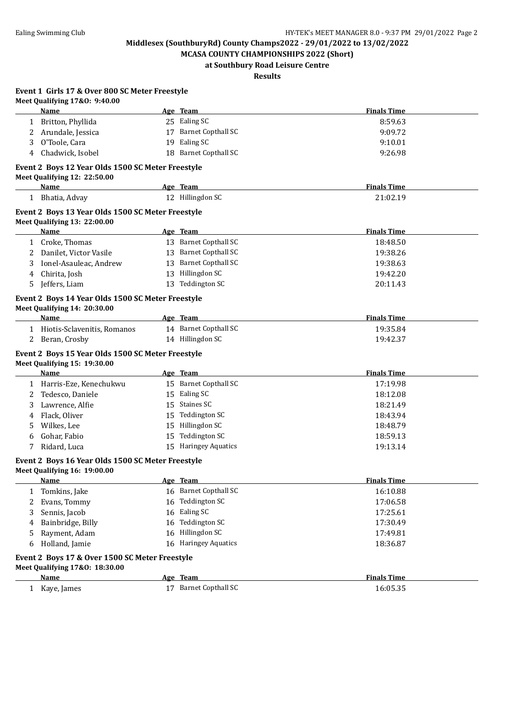**Event 1 Girls 17 & Over 800 SC Meter Freestyle**

**Middlesex (SouthburyRd) County Champs2022 - 29/01/2022 to 13/02/2022**

**MCASA COUNTY CHAMPIONSHIPS 2022 (Short) at Southbury Road Leisure Centre**

**Results**

|    | Name                                                                              |    | Age Team              | <b>Finals Time</b> |
|----|-----------------------------------------------------------------------------------|----|-----------------------|--------------------|
|    | 1 Britton, Phyllida                                                               |    | 25 Ealing SC          | 8:59.63            |
|    | 2 Arundale, Jessica                                                               |    | 17 Barnet Copthall SC | 9:09.72            |
| 3  | O'Toole, Cara                                                                     |    | 19 Ealing SC          | 9:10.01            |
| 4  | Chadwick, Isobel                                                                  |    | 18 Barnet Copthall SC | 9:26.98            |
|    | Event 2 Boys 12 Year Olds 1500 SC Meter Freestyle<br>Meet Qualifying 12: 22:50.00 |    |                       |                    |
|    | Name                                                                              |    | Age Team              | <b>Finals Time</b> |
|    | 1 Bhatia, Advay                                                                   |    | 12 Hillingdon SC      | 21:02.19           |
|    | Event 2 Boys 13 Year Olds 1500 SC Meter Freestyle<br>Meet Qualifying 13: 22:00.00 |    |                       |                    |
|    | Name                                                                              |    | Age Team              | <b>Finals Time</b> |
|    | 1 Croke, Thomas                                                                   |    | 13 Barnet Copthall SC | 18:48.50           |
| 2  | Danilet, Victor Vasile                                                            |    | 13 Barnet Copthall SC | 19:38.26           |
| 3  | Ionel-Asauleac, Andrew                                                            |    | 13 Barnet Copthall SC | 19:38.63           |
| 4  | Chirita, Josh                                                                     |    | 13 Hillingdon SC      | 19:42.20           |
| 5. | Jeffers, Liam                                                                     |    | 13 Teddington SC      | 20:11.43           |
|    | Event 2 Boys 14 Year Olds 1500 SC Meter Freestyle<br>Meet Qualifying 14: 20:30.00 |    |                       |                    |
|    | Name                                                                              |    | Age Team              | <b>Finals Time</b> |
|    | 1 Hiotis-Sclavenitis, Romanos                                                     |    | 14 Barnet Copthall SC | 19:35.84           |
|    | 2 Beran, Crosby                                                                   |    | 14 Hillingdon SC      | 19:42.37           |
|    |                                                                                   |    |                       |                    |
|    | Event 2 Boys 15 Year Olds 1500 SC Meter Freestyle<br>Meet Qualifying 15: 19:30.00 |    |                       |                    |
|    | Name                                                                              |    | Age Team              | <b>Finals Time</b> |
|    | 1 Harris-Eze, Kenechukwu                                                          |    | 15 Barnet Copthall SC | 17:19.98           |
| 2  | Tedesco, Daniele                                                                  |    | 15 Ealing SC          | 18:12.08           |
| 3  | Lawrence, Alfie                                                                   |    | 15 Staines SC         | 18:21.49           |
| 4  | Flack, Oliver                                                                     |    | 15 Teddington SC      | 18:43.94           |
| 5. | Wilkes, Lee                                                                       |    | 15 Hillingdon SC      | 18:48.79           |
| 6  | Gohar, Fabio                                                                      |    | 15 Teddington SC      | 18:59.13           |
| 7  | Ridard, Luca                                                                      |    | 15 Haringey Aquatics  | 19:13.14           |
|    | Event 2 Boys 16 Year Olds 1500 SC Meter Freestyle<br>Meet Qualifying 16: 19:00.00 |    |                       |                    |
|    | Name                                                                              |    | Age Team              | <b>Finals Time</b> |
| 1  | Tomkins, Jake                                                                     |    | 16 Barnet Copthall SC | 16:10.88           |
| 2  | Evans, Tommy                                                                      |    | 16 Teddington SC      | 17:06.58           |
| 3  | Sennis, Jacob                                                                     | 16 | Ealing SC             | 17:25.61           |
| 4  | Bainbridge, Billy                                                                 |    | 16 Teddington SC      | 17:30.49           |
| 5  | Rayment, Adam                                                                     |    | 16 Hillingdon SC      | 17:49.81           |
| 6  | Holland, Jamie                                                                    |    | 16 Haringey Aquatics  | 18:36.87           |
|    |                                                                                   |    |                       |                    |
|    | Event 2 Boys 17 & Over 1500 SC Meter Freestyle                                    |    |                       |                    |
|    | Meet Qualifying 17&0: 18:30.00<br><b>Name</b>                                     |    | Age Team              | <b>Finals Time</b> |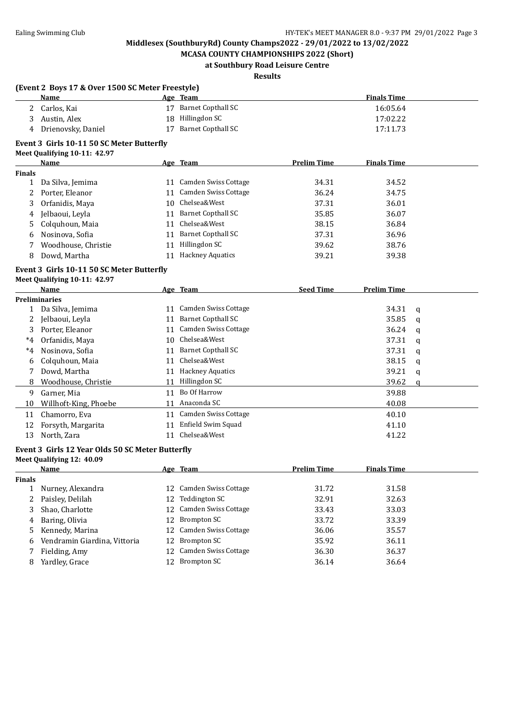**MCASA COUNTY CHAMPIONSHIPS 2022 (Short) at Southbury Road Leisure Centre**

# **Results**

|               | (Event 2 Boys 17 & Over 1500 SC Meter Freestyle) |    |                             |                    |                    |   |
|---------------|--------------------------------------------------|----|-----------------------------|--------------------|--------------------|---|
|               | Name                                             |    | Age Team                    |                    | <b>Finals Time</b> |   |
|               | 2 Carlos, Kai                                    |    | 17 Barnet Copthall SC       |                    | 16:05.64           |   |
| 3             | Austin, Alex                                     |    | 18 Hillingdon SC            |                    | 17:02.22           |   |
| 4             | Drienovsky, Daniel                               | 17 | <b>Barnet Copthall SC</b>   |                    | 17:11.73           |   |
|               | Event 3 Girls 10-11 50 SC Meter Butterfly        |    |                             |                    |                    |   |
|               | Meet Qualifying 10-11: 42.97                     |    |                             |                    |                    |   |
|               | <b>Name</b>                                      |    | Age Team                    | <b>Prelim Time</b> | <b>Finals Time</b> |   |
| <b>Finals</b> |                                                  |    |                             |                    |                    |   |
| $\mathbf{1}$  | Da Silva, Jemima                                 |    | 11 Camden Swiss Cottage     | 34.31              | 34.52              |   |
| 2             | Porter, Eleanor                                  |    | 11 Camden Swiss Cottage     | 36.24              | 34.75              |   |
| 3             | Orfanidis, Maya                                  |    | 10 Chelsea&West             | 37.31              | 36.01              |   |
| 4             | Jelbaoui, Leyla                                  |    | 11 Barnet Copthall SC       | 35.85              | 36.07              |   |
| 5.            | Colquhoun, Maia                                  |    | 11 Chelsea&West             | 38.15              | 36.84              |   |
| 6             | Nosinova, Sofia                                  |    | 11 Barnet Copthall SC       | 37.31              | 36.96              |   |
| 7             | Woodhouse, Christie                              |    | 11 Hillingdon SC            | 39.62              | 38.76              |   |
| 8             | Dowd, Martha                                     |    | 11 Hackney Aquatics         | 39.21              | 39.38              |   |
|               | Event 3 Girls 10-11 50 SC Meter Butterfly        |    |                             |                    |                    |   |
|               | Meet Qualifying 10-11: 42.97                     |    |                             |                    |                    |   |
|               | Name                                             |    | Age Team                    | <b>Seed Time</b>   | <b>Prelim Time</b> |   |
|               | <b>Preliminaries</b>                             |    |                             |                    |                    |   |
| $\mathbf{1}$  | Da Silva, Jemima                                 |    | 11 Camden Swiss Cottage     |                    | 34.31              | q |
| 2             | Jelbaoui, Leyla                                  |    | 11 Barnet Copthall SC       |                    | 35.85              | q |
| 3             | Porter, Eleanor                                  |    | 11 Camden Swiss Cottage     |                    | 36.24              | q |
| $^*4$         | Orfanidis, Maya                                  |    | 10 Chelsea&West             |                    | 37.31              | q |
| $^*4$         | Nosinova, Sofia                                  |    | 11 Barnet Copthall SC       |                    | 37.31              | q |
| 6             | Colquhoun, Maia                                  |    | 11 Chelsea&West             |                    | 38.15              | q |
| 7             | Dowd, Martha                                     |    | 11 Hackney Aquatics         |                    | 39.21              | q |
| 8             | Woodhouse, Christie                              |    | 11 Hillingdon SC            |                    | 39.62              | q |
| 9             | Garner, Mia                                      |    | 11 Bo Of Harrow             |                    | 39.88              |   |
| 10            | Willhoft-King, Phoebe                            |    | 11 Anaconda SC              |                    | 40.08              |   |
| 11            | Chamorro, Eva                                    |    | 11 Camden Swiss Cottage     |                    | 40.10              |   |
| 12            | Forsyth, Margarita                               |    | 11 Enfield Swim Squad       |                    | 41.10              |   |
| 13            | North, Zara                                      |    | 11 Chelsea&West             |                    | 41.22              |   |
|               | Event 3 Girls 12 Year Olds 50 SC Meter Butterfly |    |                             |                    |                    |   |
|               | Meet Qualifying 12: 40.09                        |    |                             |                    |                    |   |
|               | <u>Name</u>                                      |    | <u>Age Team</u>             | <u>Prelim Time</u> | <u>Finals Time</u> |   |
| <b>Finals</b> |                                                  |    |                             |                    |                    |   |
| $\mathbf{1}$  | Nurney, Alexandra                                |    | 12 Camden Swiss Cottage     | 31.72              | 31.58              |   |
| 2             | Paisley, Delilah                                 | 12 | <b>Teddington SC</b>        | 32.91              | 32.63              |   |
| 3             | Shao, Charlotte                                  | 12 | <b>Camden Swiss Cottage</b> | 33.43              | 33.03              |   |
| 4             | Baring, Olivia                                   | 12 | <b>Brompton SC</b>          | 33.72              | 33.39              |   |
| 5             | Kennedy, Marina                                  | 12 | Camden Swiss Cottage        | 36.06              | 35.57              |   |
| 6             | Vendramin Giardina, Vittoria                     | 12 | <b>Brompton SC</b>          | 35.92              | 36.11              |   |
| 7             | Fielding, Amy                                    | 12 | Camden Swiss Cottage        | 36.30              | 36.37              |   |
| 8             | Yardley, Grace                                   | 12 | <b>Brompton SC</b>          | 36.14              | 36.64              |   |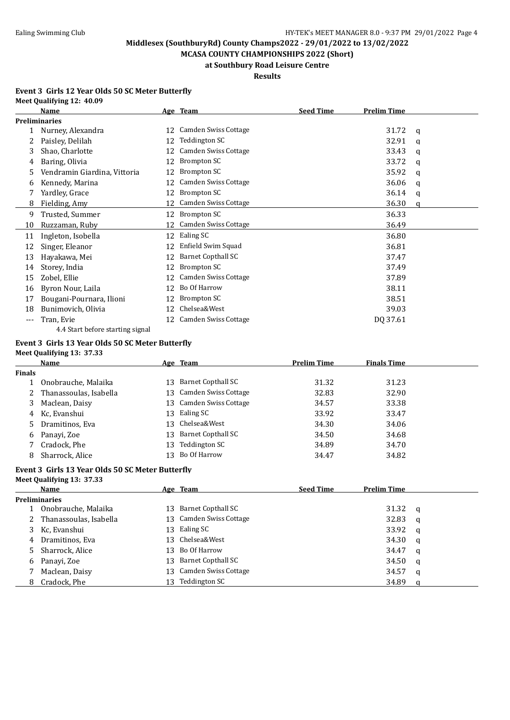**MCASA COUNTY CHAMPIONSHIPS 2022 (Short) at Southbury Road Leisure Centre**

#### **Results**

#### **Event 3 Girls 12 Year Olds 50 SC Meter Butterfly Meet Qualifying 12: 40.09**

|     | Name                             |    | Age Team                    | <b>Seed Time</b> | <b>Prelim Time</b> |   |
|-----|----------------------------------|----|-----------------------------|------------------|--------------------|---|
|     | <b>Preliminaries</b>             |    |                             |                  |                    |   |
|     | Nurney, Alexandra                | 12 | Camden Swiss Cottage        |                  | 31.72              | a |
| 2.  | Paisley, Delilah                 | 12 | Teddington SC               |                  | 32.91              | q |
| 3   | Shao, Charlotte                  | 12 | <b>Camden Swiss Cottage</b> |                  | 33.43              | a |
| 4   | Baring, Olivia                   | 12 | Brompton SC                 |                  | 33.72              | q |
| 5   | Vendramin Giardina, Vittoria     | 12 | Brompton SC                 |                  | 35.92              | a |
| b   | Kennedy, Marina                  | 12 | <b>Camden Swiss Cottage</b> |                  | 36.06              | q |
|     | Yardley, Grace                   | 12 | Brompton SC                 |                  | 36.14              | q |
| 8   | Fielding, Amy                    | 12 | <b>Camden Swiss Cottage</b> |                  | 36.30              | a |
| 9   | Trusted, Summer                  | 12 | Brompton SC                 |                  | 36.33              |   |
| 10  | Ruzzaman, Ruby                   | 12 | Camden Swiss Cottage        |                  | 36.49              |   |
| 11  | Ingleton, Isobella               | 12 | Ealing SC                   |                  | 36.80              |   |
| 12  | Singer, Eleanor                  | 12 | Enfield Swim Squad          |                  | 36.81              |   |
| 13  | Hayakawa, Mei                    | 12 | <b>Barnet Copthall SC</b>   |                  | 37.47              |   |
| 14  | Storey, India                    | 12 | <b>Brompton SC</b>          |                  | 37.49              |   |
| 15  | Zobel, Ellie                     | 12 | <b>Camden Swiss Cottage</b> |                  | 37.89              |   |
| 16  | Byron Nour, Laila                | 12 | Bo Of Harrow                |                  | 38.11              |   |
| 17  | Bougani-Pournara, Ilioni         | 12 | Brompton SC                 |                  | 38.51              |   |
| 18  | Bunimovich, Olivia               | 12 | Chelsea&West                |                  | 39.03              |   |
| --- | Tran, Evie                       | 12 | <b>Camden Swiss Cottage</b> |                  | DQ 37.61           |   |
|     | 4.4 Start before starting signal |    |                             |                  |                    |   |

### **Event 3 Girls 13 Year Olds 50 SC Meter Butterfly**

**Meet Qualifying 13: 37.33**

|               | Name                     |     | Age Team                | <b>Prelim Time</b> | <b>Finals Time</b> |  |
|---------------|--------------------------|-----|-------------------------|--------------------|--------------------|--|
| <b>Finals</b> |                          |     |                         |                    |                    |  |
|               | Onobrauche, Malaika      | 13. | Barnet Copthall SC      | 31.32              | 31.23              |  |
|               | 2 Thanassoulas, Isabella |     | 13 Camden Swiss Cottage | 32.83              | 32.90              |  |
| 3             | Maclean, Daisy           | 13  | Camden Swiss Cottage    | 34.57              | 33.38              |  |
|               | 4 Kc, Evanshui           | 13  | Ealing SC               | 33.92              | 33.47              |  |
|               | 5 Dramitinos, Eva        | 13  | Chelsea&West            | 34.30              | 34.06              |  |
| 6             | Panayi, Zoe              | 13. | Barnet Copthall SC      | 34.50              | 34.68              |  |
|               | Cradock, Phe             | 13  | Teddington SC           | 34.89              | 34.70              |  |
| 8             | Sharrock, Alice          | 13  | Bo Of Harrow            | 34.47              | 34.82              |  |

#### **Event 3 Girls 13 Year Olds 50 SC Meter Butterfly Meet Qualifying 13: 37.33**

|   | <b>Name</b>              |     | Age Team                | <b>Seed Time</b> | <b>Prelim Time</b> |          |
|---|--------------------------|-----|-------------------------|------------------|--------------------|----------|
|   | <b>Preliminaries</b>     |     |                         |                  |                    |          |
|   | Onobrauche, Malaika      | 13. | Barnet Copthall SC      |                  | 31.32              | - q      |
|   | 2 Thanassoulas, Isabella |     | 13 Camden Swiss Cottage |                  | 32.83              | - a      |
|   | 3 Kc, Evanshui           | 13. | Ealing SC               |                  | 33.92              | <b>a</b> |
| 4 | Dramitinos, Eva          |     | 13 Chelsea&West         |                  | 34.30              | a        |
|   | 5 Sharrock, Alice        | 13  | Bo Of Harrow            |                  | 34.47              | a        |
| 6 | Panayi, Zoe              | 13. | Barnet Copthall SC      |                  | 34.50              | a        |
|   | Maclean, Daisy           | 13. | Camden Swiss Cottage    |                  | 34.57              | a        |
|   | 8 Cradock, Phe           | 13. | Teddington SC           |                  | 34.89              |          |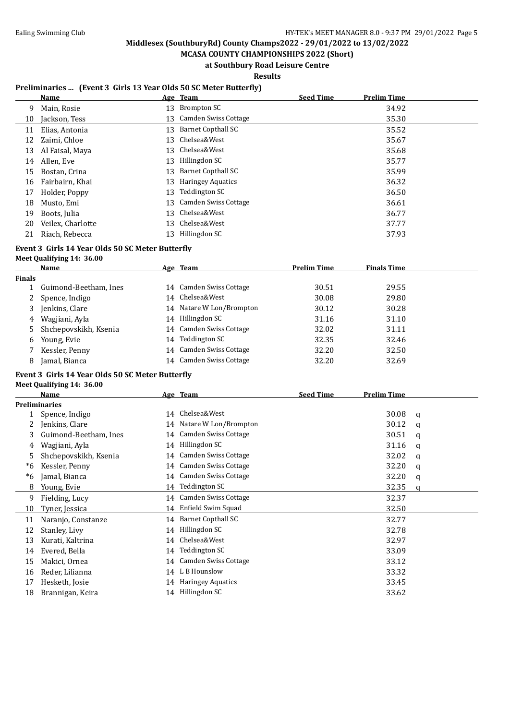**MCASA COUNTY CHAMPIONSHIPS 2022 (Short) at Southbury Road Leisure Centre**

**Results**

### **Preliminaries ... (Event 3 Girls 13 Year Olds 50 SC Meter Butterfly)**

|    | Name              |    | Age Team                  | <b>Seed Time</b> | <b>Prelim Time</b> |
|----|-------------------|----|---------------------------|------------------|--------------------|
| 9  | Main, Rosie       | 13 | Brompton SC               |                  | 34.92              |
| 10 | Jackson, Tess     |    | 13 Camden Swiss Cottage   |                  | 35.30              |
| 11 | Elias, Antonia    | 13 | <b>Barnet Copthall SC</b> |                  | 35.52              |
| 12 | Zaimi, Chloe      | 13 | Chelsea&West              |                  | 35.67              |
| 13 | Al Faisal, Maya   |    | 13 Chelsea&West           |                  | 35.68              |
| 14 | Allen, Eve        | 13 | Hillingdon SC             |                  | 35.77              |
| 15 | Bostan, Crina     | 13 | <b>Barnet Copthall SC</b> |                  | 35.99              |
| 16 | Fairbairn, Khai   | 13 | <b>Haringey Aquatics</b>  |                  | 36.32              |
| 17 | Holder, Poppy     | 13 | Teddington SC             |                  | 36.50              |
| 18 | Musto, Emi        | 13 | Camden Swiss Cottage      |                  | 36.61              |
| 19 | Boots, Julia      | 13 | Chelsea&West              |                  | 36.77              |
| 20 | Veilex, Charlotte | 13 | Chelsea&West              |                  | 37.77              |
| 21 | Riach, Rebecca    | 13 | Hillingdon SC             |                  | 37.93              |

# **Event 3 Girls 14 Year Olds 50 SC Meter Butterfly**

# **Meet Qualifying 14: 36.00**

|        | <b>Name</b>           |    | Age Team                | <b>Prelim Time</b> | <b>Finals Time</b> |
|--------|-----------------------|----|-------------------------|--------------------|--------------------|
| Finals |                       |    |                         |                    |                    |
|        | Guimond-Beetham, Ines |    | 14 Camden Swiss Cottage | 30.51              | 29.55              |
| 2      | Spence, Indigo        |    | 14 Chelsea&West         | 30.08              | 29.80              |
| 3      | Jenkins, Clare        | 14 | Natare W Lon/Brompton   | 30.12              | 30.28              |
| 4      | Wagjiani, Ayla        | 14 | Hillingdon SC           | 31.16              | 31.10              |
| 5.     | Shchepovskikh, Ksenia |    | 14 Camden Swiss Cottage | 32.02              | 31.11              |
| 6      | Young, Evie           | 14 | Teddington SC           | 32.35              | 32.46              |
|        | Kessler, Penny        |    | 14 Camden Swiss Cottage | 32.20              | 32.50              |
| 8      | Jamal, Bianca         | 14 | Camden Swiss Cottage    | 32.20              | 32.69              |
|        |                       |    |                         |                    |                    |

### **Event 3 Girls 14 Year Olds 50 SC Meter Butterfly**

**Meet Qualifying 14: 36.00**

|    | <b>Name</b>           |    | Age Team                    | <b>Seed Time</b> | Prelim Time |   |
|----|-----------------------|----|-----------------------------|------------------|-------------|---|
|    | Preliminaries         |    |                             |                  |             |   |
|    | Spence, Indigo        | 14 | Chelsea&West                |                  | 30.08       | a |
| 2  | Jenkins, Clare        |    | 14 Natare W Lon/Brompton    |                  | 30.12       | a |
| 3  | Guimond-Beetham, Ines |    | 14 Camden Swiss Cottage     |                  | 30.51       | a |
| 4  | Wagjiani, Ayla        |    | 14 Hillingdon SC            |                  | 31.16       | q |
| 5  | Shchepovskikh, Ksenia | 14 | Camden Swiss Cottage        |                  | 32.02       | q |
| *6 | Kessler, Penny        | 14 | Camden Swiss Cottage        |                  | 32.20       | a |
| *6 | Jamal, Bianca         | 14 | <b>Camden Swiss Cottage</b> |                  | 32.20       | q |
| 8  | Young, Evie           | 14 | Teddington SC               |                  | 32.35       | a |
| 9  | Fielding, Lucy        |    | 14 Camden Swiss Cottage     |                  | 32.37       |   |
| 10 | Tyner, Jessica        | 14 | Enfield Swim Squad          |                  | 32.50       |   |
| 11 | Naranjo, Constanze    |    | 14 Barnet Copthall SC       |                  | 32.77       |   |
| 12 | Stanley, Livy         | 14 | Hillingdon SC               |                  | 32.78       |   |
| 13 | Kurati, Kaltrina      | 14 | Chelsea&West                |                  | 32.97       |   |
| 14 | Evered, Bella         | 14 | Teddington SC               |                  | 33.09       |   |
| 15 | Makici, Ornea         | 14 | Camden Swiss Cottage        |                  | 33.12       |   |
| 16 | Reder, Lilianna       | 14 | L B Hounslow                |                  | 33.32       |   |
| 17 | Hesketh, Josie        |    | 14 Haringey Aquatics        |                  | 33.45       |   |
| 18 | Brannigan, Keira      |    | 14 Hillingdon SC            |                  | 33.62       |   |
|    |                       |    |                             |                  |             |   |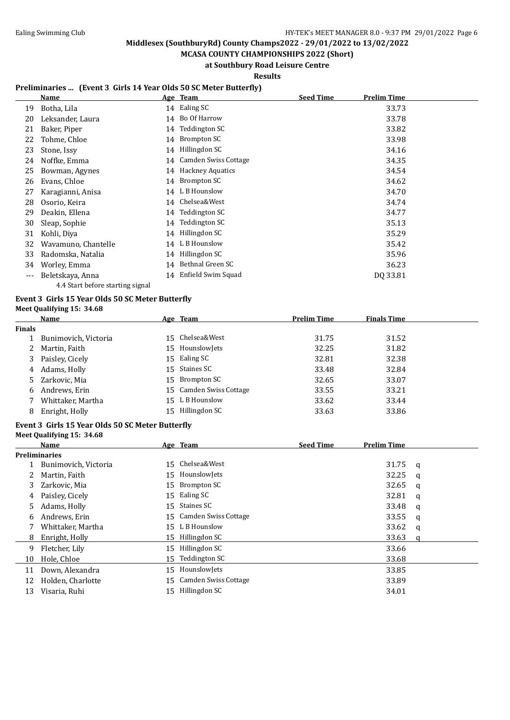**MCASA COUNTY CHAMPIONSHIPS 2022 (Short) at Southbury Road Leisure Centre**

**Results**

### **Preliminaries ... (Event 3 Girls 14 Year Olds 50 SC Meter Butterfly)**

|       | Name                |    | Age Team                | <b>Seed Time</b> | <b>Prelim Time</b> |
|-------|---------------------|----|-------------------------|------------------|--------------------|
| 19    | Botha, Lila         |    | 14 Ealing SC            |                  | 33.73              |
| 20    | Leksander, Laura    | 14 | Bo Of Harrow            |                  | 33.78              |
| 21    | Baker, Piper        | 14 | Teddington SC           |                  | 33.82              |
| 22    | Tohme, Chloe        | 14 | Brompton SC             |                  | 33.98              |
| 23    | Stone, Issy         | 14 | Hillingdon SC           |                  | 34.16              |
| 24    | Noffke, Emma        | 14 | Camden Swiss Cottage    |                  | 34.35              |
| 25    | Bowman, Agynes      | 14 | <b>Hackney Aquatics</b> |                  | 34.54              |
| 26    | Evans, Chloe        | 14 | Brompton SC             |                  | 34.62              |
| 27    | Karagianni, Anisa   |    | 14 L B Hounslow         |                  | 34.70              |
| 28    | Osorio, Keira       | 14 | Chelsea&West            |                  | 34.74              |
| 29    | Deakin, Ellena      | 14 | Teddington SC           |                  | 34.77              |
| 30    | Sleap, Sophie       | 14 | Teddington SC           |                  | 35.13              |
| 31    | Kohli, Diya         | 14 | Hillingdon SC           |                  | 35.29              |
| 32    | Wavamuno, Chantelle | 14 | L B Hounslow            |                  | 35.42              |
| 33    | Radomska, Natalia   | 14 | Hillingdon SC           |                  | 35.96              |
| 34    | Worley, Emma        | 14 | Bethnal Green SC        |                  | 36.23              |
| $---$ | Beletskaya, Anna    | 14 | Enfield Swim Squad      |                  | DQ 33.81           |

# 4.4 Start before starting signal

# **Event 3 Girls 15 Year Olds 50 SC Meter Butterfly**

| Meet Qualifying 15: 34.68 |  |
|---------------------------|--|
|---------------------------|--|

**Meet Qualifying 15: 34.68**

|               | Name                 | Age Team                | <b>Prelim Time</b> | <b>Finals Time</b> |  |
|---------------|----------------------|-------------------------|--------------------|--------------------|--|
| <b>Finals</b> |                      |                         |                    |                    |  |
|               | Bunimovich, Victoria | 15 Chelsea&West         | 31.75              | 31.52              |  |
| 2             | Martin, Faith        | 15 Hounslowlets         | 32.25              | 31.82              |  |
| 3             | Paisley, Cicely      | 15 Ealing SC            | 32.81              | 32.38              |  |
| 4             | Adams, Holly         | 15 Staines SC           | 33.48              | 32.84              |  |
|               | 5 Zarkovic, Mia      | 15 Brompton SC          | 32.65              | 33.07              |  |
| 6             | Andrews, Erin        | 15 Camden Swiss Cottage | 33.55              | 33.21              |  |
|               | Whittaker, Martha    | 15 L B Hounslow         | 33.62              | 33.44              |  |
| 8             | Enright, Holly       | 15 Hillingdon SC        | 33.63              | 33.86              |  |

### **Event 3 Girls 15 Year Olds 50 SC Meter Butterfly**

|    | Name                 |    | Age Team                | <b>Seed Time</b> | <b>Prelim Time</b> |   |
|----|----------------------|----|-------------------------|------------------|--------------------|---|
|    | <b>Preliminaries</b> |    |                         |                  |                    |   |
|    | Bunimovich, Victoria |    | 15 Chelsea&West         |                  | 31.75              | a |
| 2  | Martin, Faith        |    | 15 Hounslowlets         |                  | 32.25              | a |
| 3  | Zarkovic, Mia        |    | 15 Brompton SC          |                  | 32.65              | a |
| 4  | Paisley, Cicely      | 15 | Ealing SC               |                  | 32.81              | a |
| 5. | Adams, Holly         | 15 | Staines SC              |                  | 33.48              | a |
| 6  | Andrews, Erin        |    | 15 Camden Swiss Cottage |                  | 33.55              | q |
|    | Whittaker, Martha    |    | 15 L B Hounslow         |                  | 33.62              | a |
| 8  | Enright, Holly       | 15 | Hillingdon SC           |                  | 33.63              |   |
| 9  | Fletcher, Lily       | 15 | Hillingdon SC           |                  | 33.66              |   |
| 10 | Hole, Chloe          | 15 | Teddington SC           |                  | 33.68              |   |
| 11 | Down, Alexandra      | 15 | HounslowJets            |                  | 33.85              |   |
| 12 | Holden, Charlotte    |    | 15 Camden Swiss Cottage |                  | 33.89              |   |
| 13 | Visaria, Ruhi        | 15 | Hillingdon SC           |                  | 34.01              |   |
|    |                      |    |                         |                  |                    |   |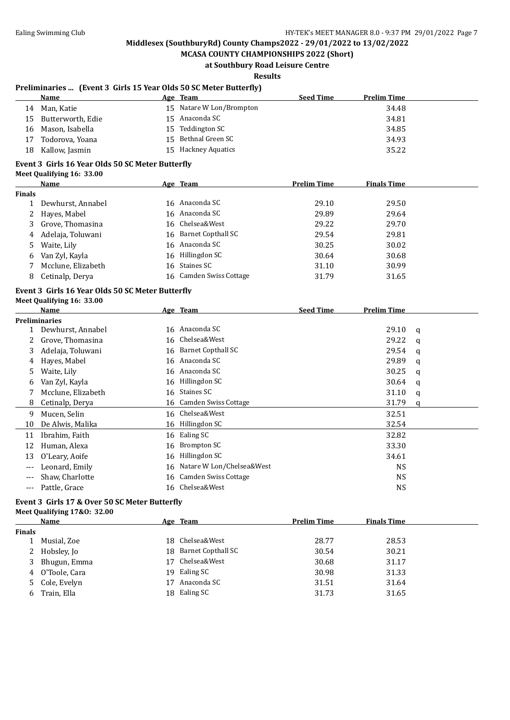**MCASA COUNTY CHAMPIONSHIPS 2022 (Short) at Southbury Road Leisure Centre**

**Results**

#### **Preliminaries ... (Event 3 Girls 15 Year Olds 50 SC Meter Butterfly)**

|     | Name                 | <u>Age Team</u>          | <b>Seed Time</b> | <b>Prelim Time</b> |
|-----|----------------------|--------------------------|------------------|--------------------|
| 14  | Man, Katie           | 15 Natare W Lon/Brompton |                  | 34.48              |
|     | 15 Butterworth, Edie | 15 Anaconda SC           |                  | 34.81              |
|     | 16 Mason, Isabella   | 15 Teddington SC         |                  | 34.85              |
|     | 17 Todorova, Yoana   | 15 Bethnal Green SC      |                  | 34.93              |
| 18. | Kallow, Jasmin       | 15 Hackney Aquatics      |                  | 35.22              |
|     |                      |                          |                  |                    |

### **Event 3 Girls 16 Year Olds 50 SC Meter Butterfly**

|  | Meet Qualifying 16: 33.00 |  |  |
|--|---------------------------|--|--|
|--|---------------------------|--|--|

|        | <b>Name</b>        | Age Team                | <b>Prelim Time</b> | <b>Finals Time</b> |
|--------|--------------------|-------------------------|--------------------|--------------------|
| Finals |                    |                         |                    |                    |
|        | Dewhurst, Annabel  | 16 Anaconda SC          | 29.10              | 29.50              |
|        | 2 Hayes, Mabel     | 16 Anaconda SC          | 29.89              | 29.64              |
|        | 3 Grove, Thomasina | 16 Chelsea&West         | 29.22              | 29.70              |
| 4      | Adelaja, Toluwani  | 16 Barnet Copthall SC   | 29.54              | 29.81              |
| 5.     | Waite, Lily        | 16 Anaconda SC          | 30.25              | 30.02              |
| 6      | Van Zyl, Kayla     | 16 Hillingdon SC        | 30.64              | 30.68              |
|        | Mcclune, Elizabeth | 16 Staines SC           | 31.10              | 30.99              |
| 8      | Cetinalp, Derya    | 16 Camden Swiss Cottage | 31.79              | 31.65              |
|        |                    |                         |                    |                    |

#### **Event 3 Girls 16 Year Olds 50 SC Meter Butterfly Meet Qualifying 16: 33.00**

|     | Name                 |    | Age Team                  | <b>Seed Time</b> | <b>Prelim Time</b> |   |
|-----|----------------------|----|---------------------------|------------------|--------------------|---|
|     | <b>Preliminaries</b> |    |                           |                  |                    |   |
|     | Dewhurst, Annabel    |    | 16 Anaconda SC            |                  | 29.10              | a |
|     | Grove, Thomasina     |    | 16 Chelsea&West           |                  | 29.22              | q |
| 3   | Adelaja, Toluwani    |    | 16 Barnet Copthall SC     |                  | 29.54              | a |
| 4   | Hayes, Mabel         |    | 16 Anaconda SC            |                  | 29.89              | q |
| 5   | Waite, Lily          |    | 16 Anaconda SC            |                  | 30.25              | a |
| 6   | Van Zyl, Kayla       |    | 16 Hillingdon SC          |                  | 30.64              | q |
|     | Mcclune, Elizabeth   |    | 16 Staines SC             |                  | 31.10              | a |
| 8   | Cetinalp, Derya      |    | 16 Camden Swiss Cottage   |                  | 31.79              | a |
| 9   | Mucen, Selin         |    | 16 Chelsea&West           |                  | 32.51              |   |
| 10  | De Alwis, Malika     |    | 16 Hillingdon SC          |                  | 32.54              |   |
| 11  | Ibrahim, Faith       |    | 16 Ealing SC              |                  | 32.82              |   |
| 12  | Human, Alexa         | 16 | Brompton SC               |                  | 33.30              |   |
| 13  | O'Leary, Aoife       | 16 | Hillingdon SC             |                  | 34.61              |   |
| --- | Leonard, Emily       | 16 | Natare W Lon/Chelsea&West |                  | <b>NS</b>          |   |
| --- | Shaw, Charlotte      |    | 16 Camden Swiss Cottage   |                  | <b>NS</b>          |   |
| --- | Pattle, Grace        |    | 16 Chelsea&West           |                  | <b>NS</b>          |   |

#### **Event 3 Girls 17 & Over 50 SC Meter Butterfly Meet Qualifying 17&O: 32.00**

|               | Name            |     | Age Team              | <b>Prelim Time</b> | <b>Finals Time</b> |  |
|---------------|-----------------|-----|-----------------------|--------------------|--------------------|--|
| <b>Finals</b> |                 |     |                       |                    |                    |  |
|               | Musial, Zoe     |     | 18 Chelsea&West       | 28.77              | 28.53              |  |
|               | 2 Hobsley, Jo   |     | 18 Barnet Copthall SC | 30.54              | 30.21              |  |
|               | 3 Bhugun, Emma  | 17  | Chelsea&West          | 30.68              | 31.17              |  |
|               | 4 O'Toole, Cara | 19. | Ealing SC             | 30.98              | 31.33              |  |
|               | 5 Cole, Evelyn  | 17  | Anaconda SC           | 31.51              | 31.64              |  |
|               | 6 Train, Ella   |     | 18 Ealing SC          | 31.73              | 31.65              |  |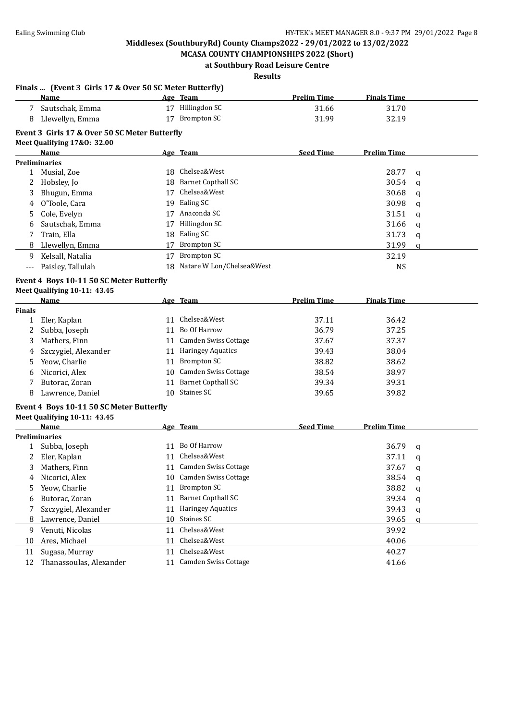**Finals ... (Event 3 Girls 17 & Over 50 SC Meter Butterfly)**

## **Middlesex (SouthburyRd) County Champs2022 - 29/01/2022 to 13/02/2022**

**MCASA COUNTY CHAMPIONSHIPS 2022 (Short) at Southbury Road Leisure Centre**

**Results**

|               | Name                                          |     | Age Team                     | <b>Prelim Time</b> | <b>Finals Time</b> |   |
|---------------|-----------------------------------------------|-----|------------------------------|--------------------|--------------------|---|
| 7             | Sautschak, Emma                               |     | 17 Hillingdon SC             | 31.66              | 31.70              |   |
| 8             | Llewellyn, Emma                               |     | 17 Brompton SC               | 31.99              | 32.19              |   |
|               | Event 3 Girls 17 & Over 50 SC Meter Butterfly |     |                              |                    |                    |   |
|               | Meet Qualifying 17&0: 32.00                   |     |                              |                    |                    |   |
|               | Name                                          |     | Age Team                     | <b>Seed Time</b>   | <b>Prelim Time</b> |   |
|               | <b>Preliminaries</b>                          |     |                              |                    |                    |   |
| $\mathbf{1}$  | Musial, Zoe                                   | 18. | Chelsea&West                 |                    | 28.77              | q |
| 2             | Hobsley, Jo                                   | 18  | <b>Barnet Copthall SC</b>    |                    | 30.54              | q |
| 3             | Bhugun, Emma                                  | 17  | Chelsea&West                 |                    | 30.68              | q |
| 4             | O'Toole, Cara                                 | 19  | Ealing SC                    |                    | 30.98              | q |
| 5             | Cole, Evelyn                                  |     | 17 Anaconda SC               |                    | 31.51              | q |
| 6             | Sautschak, Emma                               | 17  | Hillingdon SC                |                    | 31.66              | q |
| 7             | Train, Ella                                   | 18  | Ealing SC                    |                    | 31.73              | q |
| 8             | Llewellyn, Emma                               | 17  | <b>Brompton SC</b>           |                    | 31.99              | q |
| 9             | Kelsall, Natalia                              | 17  | <b>Brompton SC</b>           |                    | 32.19              |   |
| $---$         | Paisley, Tallulah                             |     | 18 Natare W Lon/Chelsea&West |                    | <b>NS</b>          |   |
|               | Event 4 Boys 10-11 50 SC Meter Butterfly      |     |                              |                    |                    |   |
|               | Meet Qualifying 10-11: 43.45                  |     |                              |                    |                    |   |
|               | Name                                          |     | Age Team                     | <b>Prelim Time</b> | <b>Finals Time</b> |   |
| <b>Finals</b> |                                               |     |                              |                    |                    |   |
| $\mathbf{1}$  | Eler, Kaplan                                  |     | 11 Chelsea&West              | 37.11              | 36.42              |   |
| 2             | Subba, Joseph                                 |     | 11 Bo Of Harrow              | 36.79              | 37.25              |   |
| 3             | Mathers, Finn                                 |     | 11 Camden Swiss Cottage      | 37.67              | 37.37              |   |
| 4             | Szczygiel, Alexander                          |     | 11 Haringey Aquatics         | 39.43              | 38.04              |   |
| 5             | Yeow, Charlie                                 |     | 11 Brompton SC               | 38.82              | 38.62              |   |
| 6             | Nicorici, Alex                                |     | 10 Camden Swiss Cottage      | 38.54              | 38.97              |   |
| 7             | Butorac, Zoran                                | 11  | <b>Barnet Copthall SC</b>    | 39.34              | 39.31              |   |
| 8             | Lawrence, Daniel                              | 10  | Staines SC                   | 39.65              | 39.82              |   |
|               |                                               |     |                              |                    |                    |   |
|               | Event 4 Boys 10-11 50 SC Meter Butterfly      |     |                              |                    |                    |   |
|               | Meet Qualifying 10-11: 43.45                  |     |                              |                    |                    |   |
|               | Name                                          |     | Age Team                     | <b>Seed Time</b>   | <b>Prelim Time</b> |   |
|               | <b>Preliminaries</b><br>1 Subba, Joseph       |     | 11 Bo Of Harrow              |                    | 36.79              |   |
| 2             |                                               |     | 11 Chelsea&West              |                    | 37.11              | q |
|               | Eler, Kaplan                                  |     | 11 Camden Swiss Cottage      |                    |                    | q |
| 3             | Mathers, Finn                                 |     |                              |                    | 37.67              | q |
| 4             | Nicorici, Alex                                |     | 10 Camden Swiss Cottage      |                    | 38.54              | q |
| 5             | Yeow, Charlie                                 |     | 11 Brompton SC               |                    | 38.82              | q |
| 6             | Butorac, Zoran                                | 11  | <b>Barnet Copthall SC</b>    |                    | 39.34              | q |
| 7             | Szczygiel, Alexander                          | 11  | <b>Haringey Aquatics</b>     |                    | 39.43              | q |
| 8             | Lawrence, Daniel                              |     | 10 Staines SC                |                    | 39.65              | a |
| 9             | Venuti, Nicolas                               |     | 11 Chelsea&West              |                    | 39.92              |   |
| 10            | Ares, Michael                                 | 11  | Chelsea&West                 |                    | 40.06              |   |
| 11            | Sugasa, Murray                                | 11  | Chelsea&West                 |                    | 40.27              |   |
| 12            | Thanassoulas, Alexander                       |     | 11 Camden Swiss Cottage      |                    | 41.66              |   |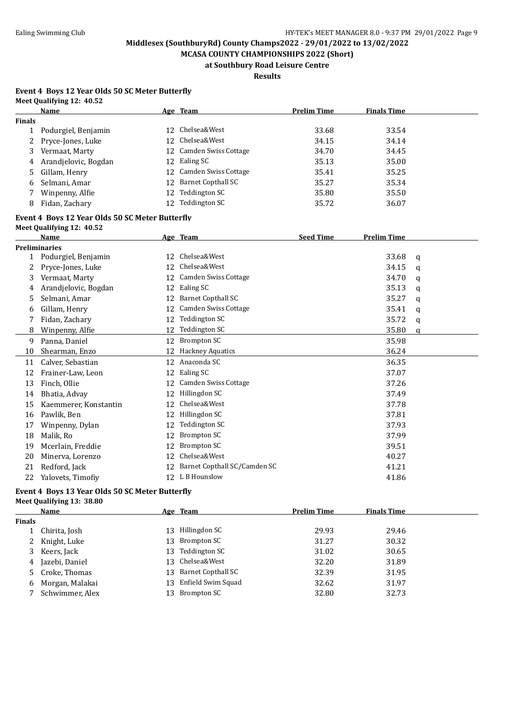**MCASA COUNTY CHAMPIONSHIPS 2022 (Short) at Southbury Road Leisure Centre**

**Results**

#### **Event 4 Boys 12 Year Olds 50 SC Meter Butterfly Meet Qualifying 12: 40.52**

|               | Name                                                                         |    | Age Team                        | <b>Prelim Time</b> | <b>Finals Time</b> |   |
|---------------|------------------------------------------------------------------------------|----|---------------------------------|--------------------|--------------------|---|
| <b>Finals</b> |                                                                              |    |                                 |                    |                    |   |
| $\mathbf{1}$  | Podurgiel, Benjamin                                                          |    | 12 Chelsea&West                 | 33.68              | 33.54              |   |
| 2             | Pryce-Jones, Luke                                                            | 12 | Chelsea&West                    | 34.15              | 34.14              |   |
| 3             | Vermaat, Marty                                                               | 12 | Camden Swiss Cottage            | 34.70              | 34.45              |   |
| 4             | Arandjelovic, Bogdan                                                         |    | 12 Ealing SC                    | 35.13              | 35.00              |   |
| 5             | Gillam, Henry                                                                | 12 | Camden Swiss Cottage            | 35.41              | 35.25              |   |
| 6             | Selmani, Amar                                                                |    | 12 Barnet Copthall SC           | 35.27              | 35.34              |   |
| 7             | Winpenny, Alfie                                                              |    | 12 Teddington SC                | 35.80              | 35.50              |   |
| 8             | Fidan, Zachary                                                               |    | 12 Teddington SC                | 35.72              | 36.07              |   |
|               | Event 4 Boys 12 Year Olds 50 SC Meter Butterfly<br>Meet Qualifying 12: 40.52 |    |                                 |                    |                    |   |
|               | <b>Name</b>                                                                  |    | Age Team                        | <b>Seed Time</b>   | <b>Prelim Time</b> |   |
|               | <b>Preliminaries</b>                                                         |    |                                 |                    |                    |   |
| 1             | Podurgiel, Benjamin                                                          |    | 12 Chelsea&West                 |                    | 33.68              | q |
| 2             | Pryce-Jones, Luke                                                            |    | 12 Chelsea&West                 |                    | 34.15              | a |
| 3             | Vermaat, Marty                                                               |    | 12 Camden Swiss Cottage         |                    | 34.70              | a |
| 4             | Arandjelovic, Bogdan                                                         |    | 12 Ealing SC                    |                    | 35.13              | q |
| 5             | Selmani, Amar                                                                | 12 | <b>Barnet Copthall SC</b>       |                    | 35.27              | a |
| 6             | Gillam, Henry                                                                | 12 | <b>Camden Swiss Cottage</b>     |                    | 35.41              | q |
| 7             | Fidan, Zachary                                                               |    | 12 Teddington SC                |                    | 35.72              | q |
| 8             | Winpenny, Alfie                                                              |    | 12 Teddington SC                |                    | 35.80              | a |
| 9             | Panna, Daniel                                                                |    | 12 Brompton SC                  |                    | 35.98              |   |
| 10            | Shearman, Enzo                                                               |    | 12 Hackney Aquatics             |                    | 36.24              |   |
| 11            | Calver, Sebastian                                                            |    | 12 Anaconda SC                  |                    | 36.35              |   |
| 12            | Frainer-Law, Leon                                                            | 12 | Ealing SC                       |                    | 37.07              |   |
| 13            | Finch, Ollie                                                                 | 12 | Camden Swiss Cottage            |                    | 37.26              |   |
| 14            | Bhatia, Advay                                                                | 12 | Hillingdon SC                   |                    | 37.49              |   |
| 15            | Kaemmerer, Konstantin                                                        | 12 | Chelsea&West                    |                    | 37.78              |   |
| 16            | Pawlik, Ben                                                                  |    | 12 Hillingdon SC                |                    | 37.81              |   |
| 17            | Winpenny, Dylan                                                              | 12 | Teddington SC                   |                    | 37.93              |   |
| 18            | Malik, Ro                                                                    | 12 | <b>Brompton SC</b>              |                    | 37.99              |   |
| 19            | Mcerlain, Freddie                                                            | 12 | <b>Brompton SC</b>              |                    | 39.51              |   |
| 20            | Minerva, Lorenzo                                                             | 12 | Chelsea&West                    |                    | 40.27              |   |
| 21            | Redford, Jack                                                                |    | 12 Barnet Copthall SC/Camden SC |                    | 41.21              |   |
| 22            | Yalovets, Timofiy                                                            |    | 12 L B Hounslow                 |                    | 41.86              |   |

#### **Event 4 Boys 13 Year Olds 50 SC Meter Butterfly Meet Qualifying 13: 38.80**

|               | Name              |     | Age Team           | <b>Prelim Time</b> | <b>Finals Time</b> |
|---------------|-------------------|-----|--------------------|--------------------|--------------------|
| <b>Finals</b> |                   |     |                    |                    |                    |
|               | Chirita, Josh     | 13  | Hillingdon SC      | 29.93              | 29.46              |
| 2             | Knight, Luke      | 13  | Brompton SC        | 31.27              | 30.32              |
| 3             | Keers, Jack       |     | 13 Teddington SC   | 31.02              | 30.65              |
|               | 4 Jazebi, Daniel  |     | 13 Chelsea&West    | 32.20              | 31.89              |
|               | 5 Croke, Thomas   | 13  | Barnet Copthall SC | 32.39              | 31.95              |
|               | 6 Morgan, Malakai | 13  | Enfield Swim Squad | 32.62              | 31.97              |
|               | Schwimmer, Alex   | 13. | Brompton SC        | 32.80              | 32.73              |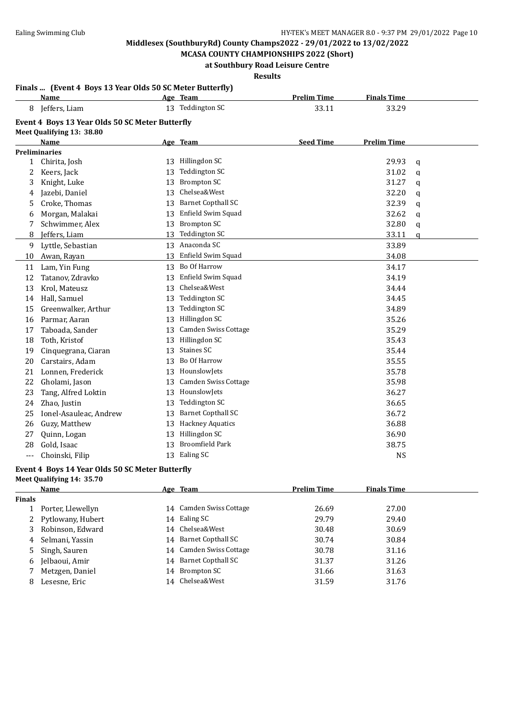**MCASA COUNTY CHAMPIONSHIPS 2022 (Short) at Southbury Road Leisure Centre**

### **Results**

#### **Finals ... (Event 4 Boys 13 Year Olds 50 SC Meter Butterfly)**

|              | Name                                            |    | Age Team                  | <b>Prelim Time</b> | <b>Finals Time</b> |             |
|--------------|-------------------------------------------------|----|---------------------------|--------------------|--------------------|-------------|
| 8            | Jeffers, Liam                                   |    | 13 Teddington SC          | 33.11              | 33.29              |             |
|              | Event 4 Boys 13 Year Olds 50 SC Meter Butterfly |    |                           |                    |                    |             |
|              | Meet Qualifying 13: 38.80                       |    |                           |                    |                    |             |
|              | <b>Name</b>                                     |    | Age Team                  | <b>Seed Time</b>   | <b>Prelim Time</b> |             |
|              | <b>Preliminaries</b>                            |    |                           |                    |                    |             |
| $\mathbf{1}$ | Chirita, Josh                                   |    | 13 Hillingdon SC          |                    | 29.93              | $\mathbf q$ |
| 2            | Keers, Jack                                     | 13 | <b>Teddington SC</b>      |                    | 31.02              | q           |
| 3            | Knight, Luke                                    | 13 | <b>Brompton SC</b>        |                    | 31.27              | a           |
| 4            | Jazebi, Daniel                                  | 13 | Chelsea&West              |                    | 32.20              | q           |
| 5            | Croke, Thomas                                   | 13 | <b>Barnet Copthall SC</b> |                    | 32.39              | q           |
| 6            | Morgan, Malakai                                 | 13 | Enfield Swim Squad        |                    | 32.62              | q           |
| 7            | Schwimmer, Alex                                 | 13 | <b>Brompton SC</b>        |                    | 32.80              | q           |
| 8            | Jeffers, Liam                                   | 13 | Teddington SC             |                    | 33.11              | $\alpha$    |
| 9            | Lyttle, Sebastian                               |    | 13 Anaconda SC            |                    | 33.89              |             |
| 10           | Awan, Rayan                                     | 13 | Enfield Swim Squad        |                    | 34.08              |             |
| 11           | Lam, Yin Fung                                   |    | 13 Bo Of Harrow           |                    | 34.17              |             |
| 12           | Tatanov, Zdravko                                | 13 | Enfield Swim Squad        |                    | 34.19              |             |
| 13           | Krol, Mateusz                                   | 13 | Chelsea&West              |                    | 34.44              |             |
| 14           | Hall, Samuel                                    | 13 | Teddington SC             |                    | 34.45              |             |
| 15           | Greenwalker, Arthur                             | 13 | <b>Teddington SC</b>      |                    | 34.89              |             |
| 16           | Parmar, Aaran                                   | 13 | Hillingdon SC             |                    | 35.26              |             |
| 17           | Taboada, Sander                                 | 13 | Camden Swiss Cottage      |                    | 35.29              |             |
| 18           | Toth, Kristof                                   | 13 | Hillingdon SC             |                    | 35.43              |             |
| 19           | Cinquegrana, Ciaran                             | 13 | Staines SC                |                    | 35.44              |             |
| 20           | Carstairs, Adam                                 | 13 | Bo Of Harrow              |                    | 35.55              |             |
| 21           | Lonnen, Frederick                               | 13 | HounslowJets              |                    | 35.78              |             |
| 22           | Gholami, Jason                                  | 13 | Camden Swiss Cottage      |                    | 35.98              |             |
| 23           | Tang, Alfred Loktin                             | 13 | HounslowJets              |                    | 36.27              |             |
| 24           | Zhao, Justin                                    | 13 | Teddington SC             |                    | 36.65              |             |
| 25           | Ionel-Asauleac, Andrew                          | 13 | <b>Barnet Copthall SC</b> |                    | 36.72              |             |
| 26           | Guzy, Matthew                                   | 13 | <b>Hackney Aquatics</b>   |                    | 36.88              |             |
| 27           | Quinn, Logan                                    | 13 | Hillingdon SC             |                    | 36.90              |             |
| 28           | Gold, Isaac                                     | 13 | <b>Broomfield Park</b>    |                    | 38.75              |             |
| ---          | Choinski, Filip                                 |    | 13 Ealing SC              |                    | <b>NS</b>          |             |

#### **Event 4 Boys 14 Year Olds 50 SC Meter Butterfly**

**Meet Qualifying 14: 35.70**

|               | Name                | Age Team                | <b>Prelim Time</b> | <b>Finals Time</b> |
|---------------|---------------------|-------------------------|--------------------|--------------------|
| <b>Finals</b> |                     |                         |                    |                    |
|               | Porter, Llewellyn   | 14 Camden Swiss Cottage | 26.69              | 27.00              |
|               | 2 Pytlowany, Hubert | 14 Ealing SC            | 29.79              | 29.40              |
|               | 3 Robinson, Edward  | 14 Chelsea&West         | 30.48              | 30.69              |
| 4             | Selmani, Yassin     | 14 Barnet Copthall SC   | 30.74              | 30.84              |
|               | 5 Singh, Sauren     | 14 Camden Swiss Cottage | 30.78              | 31.16              |
| 6             | Jelbaoui, Amir      | 14 Barnet Copthall SC   | 31.37              | 31.26              |
|               | Metzgen, Daniel     | 14 Brompton SC          | 31.66              | 31.63              |
| 8             | Lesesne, Eric       | 14 Chelsea&West         | 31.59              | 31.76              |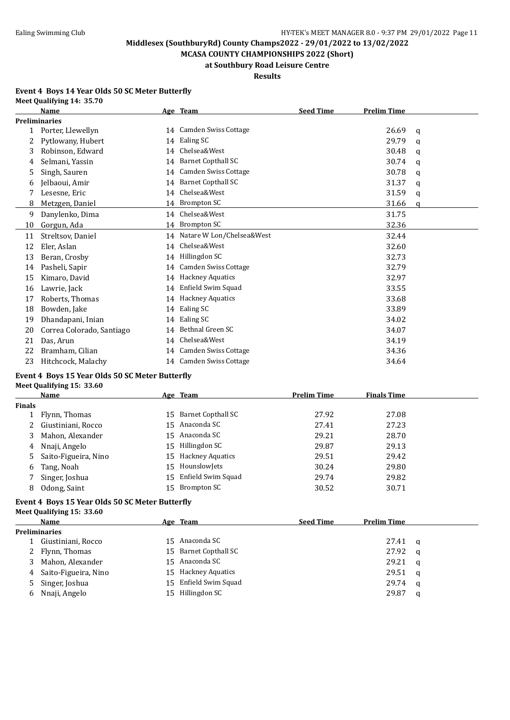**MCASA COUNTY CHAMPIONSHIPS 2022 (Short) at Southbury Road Leisure Centre**

# **Results**

#### **Event 4 Boys 14 Year Olds 50 SC Meter Butterfly Meet Qualifying 14: 35.70**

|              | Name                      |    | Age Team                     | <b>Seed Time</b> | <b>Prelim Time</b> |   |
|--------------|---------------------------|----|------------------------------|------------------|--------------------|---|
|              | <b>Preliminaries</b>      |    |                              |                  |                    |   |
| $\mathbf{1}$ | Porter, Llewellyn         | 14 | <b>Camden Swiss Cottage</b>  |                  | 26.69              | q |
| 2            | Pytlowany, Hubert         | 14 | Ealing SC                    |                  | 29.79              | q |
| 3            | Robinson, Edward          | 14 | Chelsea&West                 |                  | 30.48              | q |
| 4            | Selmani, Yassin           | 14 | <b>Barnet Copthall SC</b>    |                  | 30.74              | q |
| 5            | Singh, Sauren             | 14 | <b>Camden Swiss Cottage</b>  |                  | 30.78              | q |
| 6            | Jelbaoui, Amir            | 14 | <b>Barnet Copthall SC</b>    |                  | 31.37              | q |
|              | Lesesne, Eric             | 14 | Chelsea&West                 |                  | 31.59              | q |
| 8            | Metzgen, Daniel           |    | 14 Brompton SC               |                  | 31.66              | a |
| 9            | Danylenko, Dima           | 14 | Chelsea&West                 |                  | 31.75              |   |
| 10           | Gorgun, Ada               |    | 14 Brompton SC               |                  | 32.36              |   |
| 11           | Streltsov, Daniel         |    | 14 Natare W Lon/Chelsea&West |                  | 32.44              |   |
| 12           | Eler, Aslan               | 14 | Chelsea&West                 |                  | 32.60              |   |
| 13           | Beran, Crosby             | 14 | Hillingdon SC                |                  | 32.73              |   |
| 14           | Pasheli, Sapir            | 14 | <b>Camden Swiss Cottage</b>  |                  | 32.79              |   |
| 15           | Kimaro, David             | 14 | <b>Hackney Aquatics</b>      |                  | 32.97              |   |
| 16           | Lawrie, Jack              | 14 | Enfield Swim Squad           |                  | 33.55              |   |
| 17           | Roberts, Thomas           | 14 | <b>Hackney Aquatics</b>      |                  | 33.68              |   |
| 18           | Bowden, Jake              | 14 | Ealing SC                    |                  | 33.89              |   |
| 19           | Dhandapani, Inian         | 14 | Ealing SC                    |                  | 34.02              |   |
| 20           | Correa Colorado, Santiago | 14 | Bethnal Green SC             |                  | 34.07              |   |
| 21           | Das, Arun                 | 14 | Chelsea&West                 |                  | 34.19              |   |
| 22           | Bramham, Cilian           | 14 | Camden Swiss Cottage         |                  | 34.36              |   |
| 23           | Hitchcock, Malachy        | 14 | <b>Camden Swiss Cottage</b>  |                  | 34.64              |   |

#### **Event 4 Boys 15 Year Olds 50 SC Meter Butterfly Meet Qualifying 15: 33.60**

|               | Name                   |     | Age Team            | <b>Prelim Time</b> | <b>Finals Time</b> |
|---------------|------------------------|-----|---------------------|--------------------|--------------------|
| <b>Finals</b> |                        |     |                     |                    |                    |
|               | Flynn, Thomas          | 15. | Barnet Copthall SC  | 27.92              | 27.08              |
|               | 2 Giustiniani, Rocco   |     | 15 Anaconda SC      | 27.41              | 27.23              |
|               | 3 Mahon, Alexander     |     | 15 Anaconda SC      | 29.21              | 28.70              |
| 4             | Nnaji, Angelo          |     | 15 Hillingdon SC    | 29.87              | 29.13              |
|               | 5 Saito-Figueira, Nino |     | 15 Hackney Aquatics | 29.51              | 29.42              |
| 6             | Tang, Noah             | 15  | HounslowJets        | 30.24              | 29.80              |
|               | Singer, Joshua         | 15  | Enfield Swim Squad  | 29.74              | 29.82              |
| 8             | Odong, Saint           | 15  | Brompton SC         | 30.52              | 30.71              |

#### **Event 4 Boys 15 Year Olds 50 SC Meter Butterfly Meet Qualifying 15: 33.60**

|   | <b>Name</b>            |     | Age Team                | <b>Seed Time</b> | <b>Prelim Time</b> |          |
|---|------------------------|-----|-------------------------|------------------|--------------------|----------|
|   | <b>Preliminaries</b>   |     |                         |                  |                    |          |
|   | Giustiniani, Rocco     |     | 15 Anaconda SC          |                  | 27.41              | <b>a</b> |
|   | 2 Flynn, Thomas        |     | 15 Barnet Copthall SC   |                  | 27.92              | - a      |
| 3 | Mahon, Alexander       |     | 15 Anaconda SC          |                  | 29.21              | - q      |
|   | 4 Saito-Figueira, Nino | 15. | <b>Hackney Aquatics</b> |                  | 29.51              | - a      |
|   | 5 Singer, Joshua       | 15  | Enfield Swim Squad      |                  | 29.74              | <b>a</b> |
|   | 6 Nnaji, Angelo        |     | 15 Hillingdon SC        |                  | 29.87              | a        |
|   |                        |     |                         |                  |                    |          |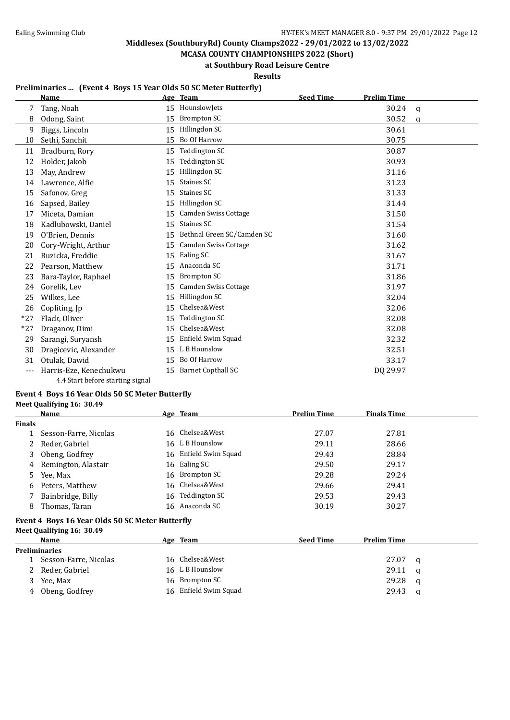**MCASA COUNTY CHAMPIONSHIPS 2022 (Short) at Southbury Road Leisure Centre**

**Results**

### **Preliminaries ... (Event 4 Boys 15 Year Olds 50 SC Meter Butterfly)**

|       | <b>Name</b>                      |    | Age Team                    | <b>Seed Time</b> | <b>Prelim Time</b> |             |
|-------|----------------------------------|----|-----------------------------|------------------|--------------------|-------------|
| 7     | Tang, Noah                       | 15 | HounslowJets                |                  | 30.24              | $\mathbf q$ |
| 8     | Odong, Saint                     | 15 | <b>Brompton SC</b>          |                  | 30.52              | a           |
| 9     | Biggs, Lincoln                   | 15 | Hillingdon SC               |                  | 30.61              |             |
| 10    | Sethi, Sanchit                   | 15 | Bo Of Harrow                |                  | 30.75              |             |
| 11    | Bradburn, Rory                   | 15 | <b>Teddington SC</b>        |                  | 30.87              |             |
| 12    | Holder, Jakob                    | 15 | <b>Teddington SC</b>        |                  | 30.93              |             |
| 13    | May, Andrew                      | 15 | Hillingdon SC               |                  | 31.16              |             |
| 14    | Lawrence, Alfie                  | 15 | Staines SC                  |                  | 31.23              |             |
| 15    | Safonov, Greg                    | 15 | Staines SC                  |                  | 31.33              |             |
| 16    | Sapsed, Bailey                   | 15 | Hillingdon SC               |                  | 31.44              |             |
| 17    | Miceta, Damian                   | 15 | <b>Camden Swiss Cottage</b> |                  | 31.50              |             |
| 18    | Kadlubowski, Daniel              | 15 | <b>Staines SC</b>           |                  | 31.54              |             |
| 19    | O'Brien, Dennis                  | 15 | Bethnal Green SC/Camden SC  |                  | 31.60              |             |
| 20    | Cory-Wright, Arthur              | 15 | <b>Camden Swiss Cottage</b> |                  | 31.62              |             |
| 21    | Ruzicka, Freddie                 | 15 | Ealing SC                   |                  | 31.67              |             |
| 22    | Pearson, Matthew                 | 15 | Anaconda SC                 |                  | 31.71              |             |
| 23    | Bara-Taylor, Raphael             | 15 | <b>Brompton SC</b>          |                  | 31.86              |             |
| 24    | Gorelik. Lev                     | 15 | Camden Swiss Cottage        |                  | 31.97              |             |
| 25    | Wilkes, Lee                      | 15 | Hillingdon SC               |                  | 32.04              |             |
| 26    | Copliting, Jp                    | 15 | Chelsea&West                |                  | 32.06              |             |
| $*27$ | Flack, Oliver                    | 15 | <b>Teddington SC</b>        |                  | 32.08              |             |
| $*27$ | Draganov, Dimi                   | 15 | Chelsea&West                |                  | 32.08              |             |
| 29    | Sarangi, Suryansh                | 15 | Enfield Swim Squad          |                  | 32.32              |             |
| 30    | Dragicevic, Alexander            | 15 | L B Hounslow                |                  | 32.51              |             |
| 31    | Otulak, Dawid                    | 15 | Bo Of Harrow                |                  | 33.17              |             |
| ---   | Harris-Eze, Kenechukwu           | 15 | <b>Barnet Copthall SC</b>   |                  | DQ 29.97           |             |
|       | 4.4 Start before starting signal |    |                             |                  |                    |             |

#### **Event 4 Boys 16 Year Olds 50 SC Meter Butterfly Meet Qualifying 16: 30.49**

|               | Name                                            | Age Team              | <b>Prelim Time</b> | <b>Finals Time</b> |   |
|---------------|-------------------------------------------------|-----------------------|--------------------|--------------------|---|
| <b>Finals</b> |                                                 |                       |                    |                    |   |
|               | Sesson-Farre, Nicolas                           | 16 Chelsea&West       | 27.07              | 27.81              |   |
| 2             | Reder, Gabriel                                  | 16 L B Hounslow       | 29.11              | 28.66              |   |
| 3             | Obeng, Godfrey                                  | 16 Enfield Swim Squad | 29.43              | 28.84              |   |
| 4             | Remington, Alastair                             | 16 Ealing SC          | 29.50              | 29.17              |   |
| 5.            | Yee, Max                                        | 16 Brompton SC        | 29.28              | 29.24              |   |
| 6             | Peters, Matthew                                 | 16 Chelsea&West       | 29.66              | 29.41              |   |
| 7             | Bainbridge, Billy                               | 16 Teddington SC      | 29.53              | 29.43              |   |
| 8             | Thomas, Taran                                   | 16 Anaconda SC        | 30.19              | 30.27              |   |
|               | Event 4 Boys 16 Year Olds 50 SC Meter Butterfly |                       |                    |                    |   |
|               | Meet Qualifying 16: 30.49                       |                       |                    |                    |   |
|               | Name                                            | Age Team              | <b>Seed Time</b>   | <b>Prelim Time</b> |   |
|               | <b>Preliminaries</b>                            |                       |                    |                    |   |
|               | Sesson-Farre, Nicolas                           | 16 Chelsea&West       |                    | 27.07              | a |
|               | Reder, Gabriel                                  | 16 L B Hounslow       |                    | 29.11              | a |
|               | Yee, Max                                        | 16 Brompton SC        |                    | 29.28              | q |

4 Obeng, Godfrey 16 Enfield Swim Squad 29.43 q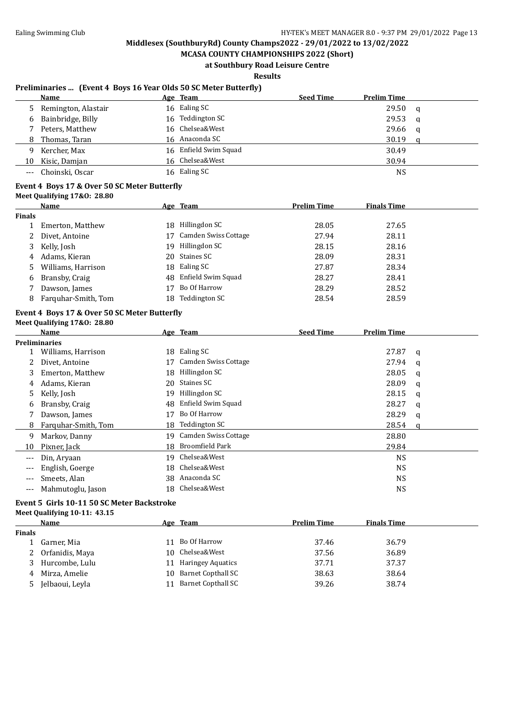**MCASA COUNTY CHAMPIONSHIPS 2022 (Short) at Southbury Road Leisure Centre**

### **Results**

#### **Preliminaries ... (Event 4 Boys 16 Year Olds 50 SC Meter Butterfly)**

|     | Name                  | Age Team              | <b>Seed Time</b> | <b>Prelim Time</b> |   |
|-----|-----------------------|-----------------------|------------------|--------------------|---|
|     | 5 Remington, Alastair | 16 Ealing SC          |                  | 29.50              | q |
|     | 6 Bainbridge, Billy   | 16 Teddington SC      |                  | 29.53              | a |
|     | Peters, Matthew       | 16 Chelsea&West       |                  | 29.66              | q |
| 8   | Thomas, Taran         | 16 Anaconda SC        |                  | 30.19              |   |
| q   | Kercher, Max          | 16 Enfield Swim Squad |                  | 30.49              |   |
| 10  | Kisic, Damjan         | 16 Chelsea&West       |                  | 30.94              |   |
| --- | Choinski, Oscar       | 16 Ealing SC          |                  | <b>NS</b>          |   |

#### **Event 4 Boys 17 & Over 50 SC Meter Butterfly**

**Meet Qualifying 17&O: 28.80**

| <b>Name</b>         |               |                             | <b>Prelim Time</b>                                                                                             | <b>Finals Time</b> |  |
|---------------------|---------------|-----------------------------|----------------------------------------------------------------------------------------------------------------|--------------------|--|
|                     |               |                             |                                                                                                                |                    |  |
| Emerton, Matthew    |               | Hillingdon SC               | 28.05                                                                                                          | 27.65              |  |
| Divet, Antoine      |               | <b>Camden Swiss Cottage</b> | 27.94                                                                                                          | 28.11              |  |
| Kelly, Josh         |               |                             | 28.15                                                                                                          | 28.16              |  |
| Adams, Kieran       |               |                             | 28.09                                                                                                          | 28.31              |  |
| Williams, Harrison  |               |                             | 27.87                                                                                                          | 28.34              |  |
| Bransby, Craig      |               |                             | 28.27                                                                                                          | 28.41              |  |
| Dawson, James       |               | Bo Of Harrow                | 28.29                                                                                                          | 28.52              |  |
| Farguhar-Smith, Tom |               | <b>Teddington SC</b>        | 28.54                                                                                                          | 28.59              |  |
|                     | <b>Finals</b> |                             | <u>Age Team</u><br>18.<br>Hillingdon SC<br>19.<br>20 Staines SC<br>18 Ealing SC<br>48 Enfield Swim Squad<br>18 |                    |  |

#### **Event 4 Boys 17 & Over 50 SC Meter Butterfly Meet Qualifying 17&O: 28.80**

|       | <b>Name</b>          |     | Age Team                | <b>Seed Time</b> | <b>Prelim Time</b> |   |
|-------|----------------------|-----|-------------------------|------------------|--------------------|---|
|       | <b>Preliminaries</b> |     |                         |                  |                    |   |
|       | Williams, Harrison   |     | 18 Ealing SC            |                  | 27.87              | a |
|       | Divet, Antoine       | 17  | Camden Swiss Cottage    |                  | 27.94              | q |
| 3     | Emerton, Matthew     | 18  | Hillingdon SC           |                  | 28.05              | a |
| 4     | Adams, Kieran        | 20  | Staines SC              |                  | 28.09              | q |
| 5.    | Kelly, Josh          | 19  | Hillingdon SC           |                  | 28.15              | a |
| b     | Bransby, Craig       | 48  | Enfield Swim Squad      |                  | 28.27              | a |
|       | Dawson, James        | 17  | Bo Of Harrow            |                  | 28.29              | q |
| 8     | Farquhar-Smith, Tom  | 18  | <b>Teddington SC</b>    |                  | 28.54              | a |
| 9     | Markov, Danny        |     | 19 Camden Swiss Cottage |                  | 28.80              |   |
| 10    | Pixner, Jack         | 18  | Broomfield Park         |                  | 29.84              |   |
| $---$ | Din, Aryaan          | 19. | Chelsea&West            |                  | <b>NS</b>          |   |
| ---   | English, Goerge      |     | 18 Chelsea&West         |                  | <b>NS</b>          |   |
| ---   | Smeets, Alan         | 38. | Anaconda SC             |                  | <b>NS</b>          |   |
| ---   | Mahmutoglu, Jason    |     | 18 Chelsea&West         |                  | NS                 |   |

### **Event 5 Girls 10-11 50 SC Meter Backstroke**

#### **Meet Qualifying 10-11: 43.15**

|        | Name            |     | Age Team              | <b>Prelim Time</b> | <b>Finals Time</b> |
|--------|-----------------|-----|-----------------------|--------------------|--------------------|
| Finals |                 |     |                       |                    |                    |
|        | Garner, Mia     |     | 11 Bo Of Harrow       | 37.46              | 36.79              |
|        | Orfanidis, Maya | 10. | Chelsea&West          | 37.56              | 36.89              |
|        | Hurcombe, Lulu  | 11  | Haringey Aquatics     | 37.71              | 37.37              |
| 4      | Mirza, Amelie   |     | 10 Barnet Copthall SC | 38.63              | 38.64              |
| 5      | Jelbaoui, Leyla | 11  | Barnet Copthall SC    | 39.26              | 38.74              |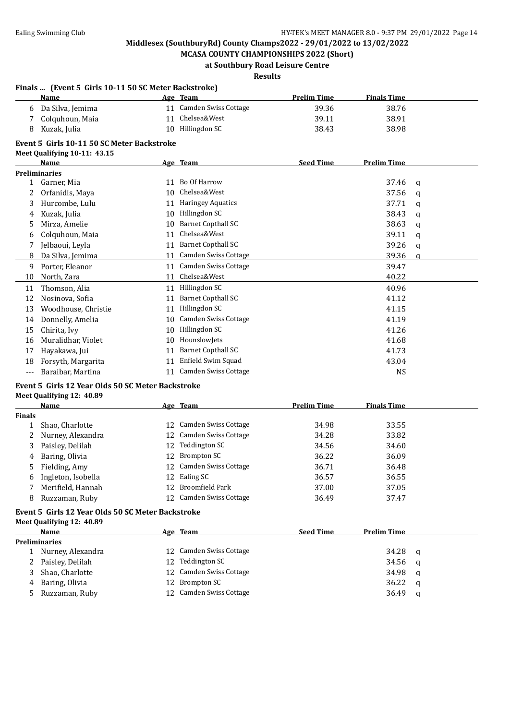**MCASA COUNTY CHAMPIONSHIPS 2022 (Short) at Southbury Road Leisure Centre**

#### **Results**

|                                            | Finals  (Event 5 Girls 10-11 50 SC Meter Backstroke) |    |                             |                    |                    |          |  |
|--------------------------------------------|------------------------------------------------------|----|-----------------------------|--------------------|--------------------|----------|--|
|                                            | Name                                                 |    | Age Team                    | <b>Prelim Time</b> | <b>Finals Time</b> |          |  |
| 6                                          | Da Silva, Jemima                                     |    | 11 Camden Swiss Cottage     | 39.36              | 38.76              |          |  |
| 7                                          | Colquhoun, Maia                                      |    | 11 Chelsea&West             | 39.11              | 38.91              |          |  |
| 8                                          | Kuzak, Julia                                         |    | 10 Hillingdon SC            | 38.43              | 38.98              |          |  |
| Event 5 Girls 10-11 50 SC Meter Backstroke |                                                      |    |                             |                    |                    |          |  |
|                                            | Meet Qualifying 10-11: 43.15                         |    |                             |                    |                    |          |  |
|                                            | <b>Name</b>                                          |    | Age Team                    | <b>Seed Time</b>   | <b>Prelim Time</b> |          |  |
|                                            | <b>Preliminaries</b>                                 |    |                             |                    |                    |          |  |
| $\mathbf{1}$                               | Garner, Mia                                          |    | 11 Bo Of Harrow             |                    | 37.46              | q        |  |
| 2                                          | Orfanidis, Maya                                      | 10 | Chelsea&West                |                    | 37.56              | q        |  |
| 3                                          | Hurcombe, Lulu                                       |    | 11 Haringey Aquatics        |                    | 37.71              | q        |  |
| 4                                          | Kuzak, Julia                                         |    | 10 Hillingdon SC            |                    | 38.43              | q        |  |
| 5                                          | Mirza, Amelie                                        |    | 10 Barnet Copthall SC       |                    | 38.63              | q        |  |
| 6                                          | Colquhoun, Maia                                      | 11 | Chelsea&West                |                    | 39.11              | q        |  |
| 7                                          | Jelbaoui, Leyla                                      |    | 11 Barnet Copthall SC       |                    | 39.26              | q        |  |
| 8                                          | Da Silva, Jemima                                     | 11 | Camden Swiss Cottage        |                    | 39.36              | $\alpha$ |  |
| 9                                          | Porter, Eleanor                                      |    | 11 Camden Swiss Cottage     |                    | 39.47              |          |  |
| 10                                         | North, Zara                                          |    | 11 Chelsea&West             |                    | 40.22              |          |  |
| 11                                         | Thomson, Alia                                        |    | 11 Hillingdon SC            |                    | 40.96              |          |  |
| 12                                         | Nosinova, Sofia                                      | 11 | <b>Barnet Copthall SC</b>   |                    | 41.12              |          |  |
| 13                                         | Woodhouse, Christie                                  |    | 11 Hillingdon SC            |                    | 41.15              |          |  |
| 14                                         | Donnelly, Amelia                                     | 10 | Camden Swiss Cottage        |                    | 41.19              |          |  |
| 15                                         | Chirita, Ivy                                         |    | 10 Hillingdon SC            |                    | 41.26              |          |  |
| 16                                         | Muralidhar, Violet                                   | 10 | HounslowJets                |                    | 41.68              |          |  |
| 17                                         | Hayakawa, Jui                                        |    | 11 Barnet Copthall SC       |                    | 41.73              |          |  |
| 18                                         | Forsyth, Margarita                                   |    | 11 Enfield Swim Squad       |                    | 43.04              |          |  |
| $---$                                      | Baraibar, Martina                                    |    | 11 Camden Swiss Cottage     |                    | <b>NS</b>          |          |  |
|                                            | Event 5 Girls 12 Year Olds 50 SC Meter Backstroke    |    |                             |                    |                    |          |  |
|                                            | Meet Qualifying 12: 40.89                            |    |                             |                    |                    |          |  |
|                                            | Name                                                 |    | Age Team                    | <b>Prelim Time</b> | <b>Finals Time</b> |          |  |
| <b>Finals</b>                              |                                                      |    |                             |                    |                    |          |  |
| 1                                          | Shao, Charlotte                                      |    | 12 Camden Swiss Cottage     | 34.98              | 33.55              |          |  |
| 2                                          | Nurney, Alexandra                                    | 12 | <b>Camden Swiss Cottage</b> | 34.28              | 33.82              |          |  |
| 3                                          | Paisley, Delilah                                     | 12 | Teddington SC               | 34.56              | 34.60              |          |  |
| 4                                          | Baring, Olivia                                       | 12 | <b>Brompton SC</b>          | 36.22              | 36.09              |          |  |
| 5                                          | Fielding, Amy                                        |    | 12 Camden Swiss Cottage     | 36.71              | 36.48              |          |  |
| 6                                          | Ingleton, Isobella                                   |    | 12 Ealing SC                | 36.57              | 36.55              |          |  |
| 7                                          | Merifield, Hannah                                    | 12 | <b>Broomfield Park</b>      | 37.00              | 37.05              |          |  |
| 8                                          | Ruzzaman, Ruby                                       |    | 12 Camden Swiss Cottage     | 36.49              | 37.47              |          |  |

#### **Event 5 Girls 12 Year Olds 50 SC Meter Backstroke Meet Qualifying 12: 40.89**

|    | Name                 | Age Team                | <b>Seed Time</b> | <b>Prelim Time</b> |   |
|----|----------------------|-------------------------|------------------|--------------------|---|
|    | <b>Preliminaries</b> |                         |                  |                    |   |
|    | Nurney, Alexandra    | 12 Camden Swiss Cottage |                  | 34.28              | q |
|    | 2 Paisley, Delilah   | 12 Teddington SC        |                  | 34.56              | a |
| 3. | Shao, Charlotte      | 12 Camden Swiss Cottage |                  | 34.98              | q |
|    | 4 Baring, Olivia     | 12 Brompton SC          |                  | 36.22              | a |
|    | 5 Ruzzaman, Ruby     | 12 Camden Swiss Cottage |                  | 36.49              | a |
|    |                      |                         |                  |                    |   |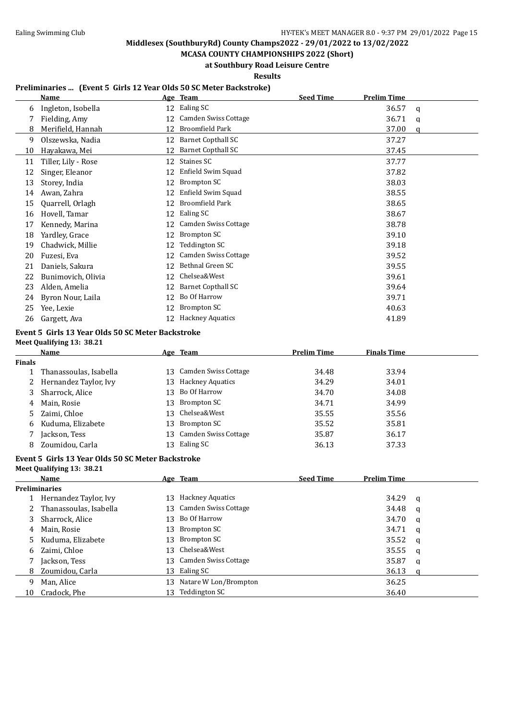**MCASA COUNTY CHAMPIONSHIPS 2022 (Short) at Southbury Road Leisure Centre**

**Results**

### **Preliminaries ... (Event 5 Girls 12 Year Olds 50 SC Meter Backstroke)**

|    | <b>Name</b>         |    | Age Team                    | <b>Seed Time</b> | <b>Prelim Time</b> |   |
|----|---------------------|----|-----------------------------|------------------|--------------------|---|
| 6  | Ingleton, Isobella  | 12 | Ealing SC                   |                  | 36.57              | a |
|    | Fielding, Amy       | 12 | Camden Swiss Cottage        |                  | 36.71              | q |
| 8  | Merifield, Hannah   | 12 | Broomfield Park             |                  | 37.00              | a |
| 9  | Olszewska, Nadia    | 12 | <b>Barnet Copthall SC</b>   |                  | 37.27              |   |
| 10 | Hayakawa, Mei       | 12 | <b>Barnet Copthall SC</b>   |                  | 37.45              |   |
| 11 | Tiller, Lily - Rose | 12 | Staines SC                  |                  | 37.77              |   |
| 12 | Singer, Eleanor     | 12 | Enfield Swim Squad          |                  | 37.82              |   |
| 13 | Storey, India       | 12 | Brompton SC                 |                  | 38.03              |   |
| 14 | Awan, Zahra         | 12 | Enfield Swim Squad          |                  | 38.55              |   |
| 15 | Quarrell, Orlagh    | 12 | <b>Broomfield Park</b>      |                  | 38.65              |   |
| 16 | Hovell, Tamar       | 12 | Ealing SC                   |                  | 38.67              |   |
| 17 | Kennedy, Marina     | 12 | Camden Swiss Cottage        |                  | 38.78              |   |
| 18 | Yardley, Grace      | 12 | Brompton SC                 |                  | 39.10              |   |
| 19 | Chadwick, Millie    | 12 | Teddington SC               |                  | 39.18              |   |
| 20 | Fuzesi, Eva         | 12 | <b>Camden Swiss Cottage</b> |                  | 39.52              |   |
| 21 | Daniels, Sakura     | 12 | Bethnal Green SC            |                  | 39.55              |   |
| 22 | Bunimovich, Olivia  | 12 | Chelsea&West                |                  | 39.61              |   |
| 23 | Alden, Amelia       | 12 | <b>Barnet Copthall SC</b>   |                  | 39.64              |   |
| 24 | Byron Nour, Laila   | 12 | Bo Of Harrow                |                  | 39.71              |   |
| 25 | Yee, Lexie          | 12 | Brompton SC                 |                  | 40.63              |   |
| 26 | Gargett, Ava        | 12 | <b>Hackney Aquatics</b>     |                  | 41.89              |   |

# **Event 5 Girls 13 Year Olds 50 SC Meter Backstroke**

**Meet Qualifying 13: 38.21**

|        | Name                    |     | Age Team                | <b>Prelim Time</b> | <b>Finals Time</b> |
|--------|-------------------------|-----|-------------------------|--------------------|--------------------|
| Finals |                         |     |                         |                    |                    |
|        | Thanassoulas, Isabella  | 13. | Camden Swiss Cottage    | 34.48              | 33.94              |
|        | 2 Hernandez Taylor, Ivy | 13. | <b>Hackney Aquatics</b> | 34.29              | 34.01              |
| 3      | Sharrock, Alice         | 13. | Bo Of Harrow            | 34.70              | 34.08              |
| 4      | Main, Rosie             | 13  | Brompton SC             | 34.71              | 34.99              |
|        | 5 Zaimi, Chloe          | 13  | Chelsea&West            | 35.55              | 35.56              |
| 6      | Kuduma, Elizabete       |     | 13 Brompton SC          | 35.52              | 35.81              |
|        | Jackson, Tess           |     | 13 Camden Swiss Cottage | 35.87              | 36.17              |
| 8      | Zoumidou, Carla         | 13. | Ealing SC               | 36.13              | 37.33              |

#### **Event 5 Girls 13 Year Olds 50 SC Meter Backstroke**

**Meet Qualifying 13: 38.21**

|    | Name                   |     | Age Team                | <b>Seed Time</b> | <b>Prelim Time</b> |              |
|----|------------------------|-----|-------------------------|------------------|--------------------|--------------|
|    | <b>Preliminaries</b>   |     |                         |                  |                    |              |
|    | Hernandez Taylor, Ivy  | 13  | <b>Hackney Aquatics</b> |                  | 34.29              | q            |
|    | Thanassoulas, Isabella |     | 13 Camden Swiss Cottage |                  | 34.48              | a            |
|    | Sharrock, Alice        | 13. | Bo Of Harrow            |                  | 34.70              | q            |
| 4  | Main, Rosie            | 13  | Brompton SC             |                  | 34.71              | <b>q</b>     |
|    | Kuduma, Elizabete      | 13  | Brompton SC             |                  | 35.52              | $\mathbf{q}$ |
| 6  | Zaimi, Chloe           |     | 13 Chelsea&West         |                  | 35.55              | q            |
|    | Jackson, Tess          |     | 13 Camden Swiss Cottage |                  | 35.87              | q            |
| 8. | Zoumidou, Carla        | 13. | Ealing SC               |                  | 36.13              |              |
| q  | Man, Alice             | 13  | Natare W Lon/Brompton   |                  | 36.25              |              |
| 10 | Cradock, Phe           | 13. | Teddington SC           |                  | 36.40              |              |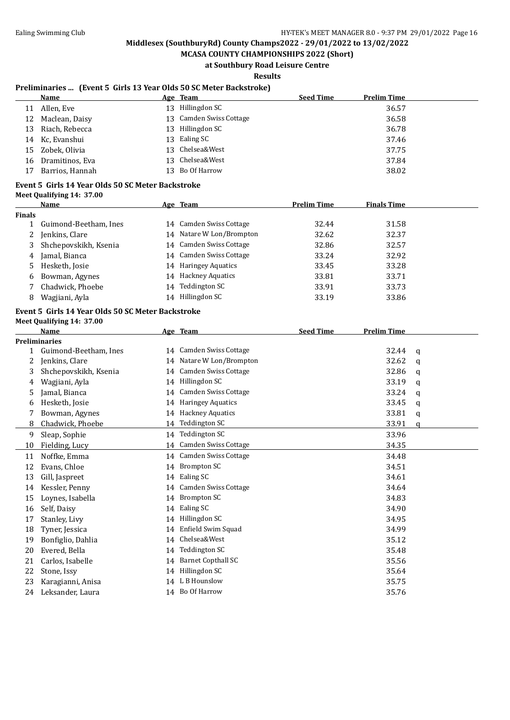**MCASA COUNTY CHAMPIONSHIPS 2022 (Short) at Southbury Road Leisure Centre**

**Results**

### **Preliminaries ... (Event 5 Girls 13 Year Olds 50 SC Meter Backstroke)**

|    | Name            |     | Age Team                | <b>Seed Time</b> | <b>Prelim Time</b> |
|----|-----------------|-----|-------------------------|------------------|--------------------|
| 11 | Allen, Eve      | 13. | Hillingdon SC           |                  | 36.57              |
| 12 | Maclean, Daisy  |     | 13 Camden Swiss Cottage |                  | 36.58              |
| 13 | Riach, Rebecca  |     | 13 Hillingdon SC        |                  | 36.78              |
|    | 14 Kc, Evanshui |     | 13 Ealing SC            |                  | 37.46              |
| 15 | Zobek, Olivia   |     | 13 Chelsea&West         |                  | 37.75              |
| 16 | Dramitinos, Eva |     | 13 Chelsea&West         |                  | 37.84              |
| 17 | Barrios, Hannah |     | 13 Bo Of Harrow         |                  | 38.02              |

#### **Event 5 Girls 14 Year Olds 50 SC Meter Backstroke**

| Meet Qualifying 14: 37.00 |  |
|---------------------------|--|
|                           |  |

|        | Name                  |        | Age Team                 | <b>Prelim Time</b> | <b>Finals Time</b> |  |
|--------|-----------------------|--------|--------------------------|--------------------|--------------------|--|
| Finals |                       |        |                          |                    |                    |  |
|        | Guimond-Beetham, Ines |        | 14 Camden Swiss Cottage  | 32.44              | 31.58              |  |
| 2      | Jenkins, Clare        |        | 14 Natare W Lon/Brompton | 32.62              | 32.37              |  |
|        | Shchepovskikh, Ksenia |        | 14 Camden Swiss Cottage  | 32.86              | 32.57              |  |
| 4      | Jamal, Bianca         |        | 14 Camden Swiss Cottage  | 33.24              | 32.92              |  |
| 5.     | Hesketh, Josie        |        | 14 Haringey Aquatics     | 33.45              | 33.28              |  |
| 6      | Bowman, Agynes        |        | 14 Hackney Aquatics      | 33.81              | 33.71              |  |
|        | Chadwick, Phoebe      | 14     | Teddington SC            | 33.91              | 33.73              |  |
| 8      | Wagjiani, Ayla        | $14$ . | Hillingdon SC            | 33.19              | 33.86              |  |
|        |                       |        |                          |                    |                    |  |

# **Event 5 Girls 14 Year Olds 50 SC Meter Backstroke Meet Qualifying 14: 37.00**

|                       |    |                             |                                                                        | <b>Prelim Time</b> |             |
|-----------------------|----|-----------------------------|------------------------------------------------------------------------|--------------------|-------------|
| <b>Preliminaries</b>  |    |                             |                                                                        |                    |             |
| Guimond-Beetham, Ines |    | Camden Swiss Cottage        |                                                                        | 32.44              | a           |
| Jenkins, Clare        |    |                             |                                                                        | 32.62              | q           |
| Shchepovskikh, Ksenia | 14 | <b>Camden Swiss Cottage</b> |                                                                        | 32.86              | a           |
| Wagjiani, Ayla        | 14 | Hillingdon SC               |                                                                        | 33.19              | q           |
| Jamal, Bianca         | 14 | <b>Camden Swiss Cottage</b> |                                                                        | 33.24              | a           |
| Hesketh, Josie        | 14 | <b>Haringey Aquatics</b>    |                                                                        | 33.45              | a           |
| Bowman, Agynes        |    | <b>Hackney Aquatics</b>     |                                                                        | 33.81              | $\mathbf q$ |
| Chadwick, Phoebe      | 14 | Teddington SC               |                                                                        | 33.91              | $\alpha$    |
| Sleap, Sophie         |    | <b>Teddington SC</b>        |                                                                        | 33.96              |             |
| Fielding, Lucy        | 14 | <b>Camden Swiss Cottage</b> |                                                                        | 34.35              |             |
| Noffke, Emma          |    | Camden Swiss Cottage        |                                                                        | 34.48              |             |
| Evans, Chloe          | 14 | Brompton SC                 |                                                                        | 34.51              |             |
| Gill, Jaspreet        | 14 | Ealing SC                   |                                                                        | 34.61              |             |
| Kessler, Penny        | 14 | <b>Camden Swiss Cottage</b> |                                                                        | 34.64              |             |
| Loynes, Isabella      | 14 | Brompton SC                 |                                                                        | 34.83              |             |
| Self, Daisy           | 14 | Ealing SC                   |                                                                        | 34.90              |             |
| Stanley, Livy         | 14 | Hillingdon SC               |                                                                        | 34.95              |             |
| Tyner, Jessica        | 14 | Enfield Swim Squad          |                                                                        | 34.99              |             |
| Bonfiglio, Dahlia     | 14 | Chelsea&West                |                                                                        | 35.12              |             |
| Evered, Bella         | 14 | <b>Teddington SC</b>        |                                                                        | 35.48              |             |
| Carlos, Isabelle      | 14 | <b>Barnet Copthall SC</b>   |                                                                        | 35.56              |             |
| Stone, Issy           | 14 | Hillingdon SC               |                                                                        | 35.64              |             |
| Karagianni, Anisa     | 14 | L B Hounslow                |                                                                        | 35.75              |             |
| Leksander, Laura      |    |                             |                                                                        | 35.76              |             |
|                       |    |                             | 14<br>14 Natare W Lon/Brompton<br>14<br>14<br>14<br>Bo Of Harrow<br>14 |                    |             |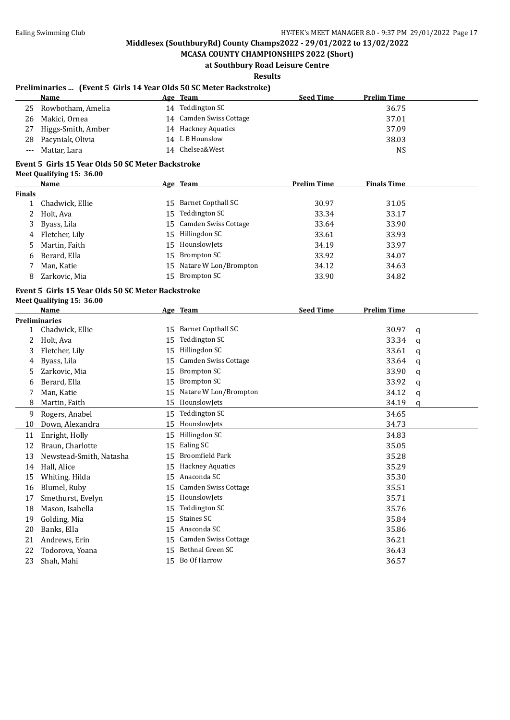### **MCASA COUNTY CHAMPIONSHIPS 2022 (Short) at Southbury Road Leisure Centre**

# **Results**

### **Preliminaries ... (Event 5 Girls 14 Year Olds 50 SC Meter Backstroke)**

| <b>Name</b> | Age                                                                                                      | <b>Seed Time</b>                                                                                                    | <b>Prelim Time</b> |
|-------------|----------------------------------------------------------------------------------------------------------|---------------------------------------------------------------------------------------------------------------------|--------------------|
|             |                                                                                                          |                                                                                                                     | 36.75              |
|             |                                                                                                          |                                                                                                                     | 37.01              |
|             |                                                                                                          |                                                                                                                     | 37.09              |
|             |                                                                                                          |                                                                                                                     | 38.03              |
|             |                                                                                                          |                                                                                                                     | NS                 |
|             | Rowbotham, Amelia<br>25<br>26 Makici, Ornea<br>Higgs-Smith, Amber<br>28 Pacyniak, Olivia<br>Mattar, Lara | Team<br>Teddington SC<br>14<br>14 Camden Swiss Cottage<br>14 Hackney Aquatics<br>14 L B Hounslow<br>14 Chelsea&West |                    |

### **Event 5 Girls 15 Year Olds 50 SC Meter Backstroke**

|  |  |  |  | <b>Meet Qualifying 15: 36.00</b> |
|--|--|--|--|----------------------------------|
|--|--|--|--|----------------------------------|

|               | Name             |    | Age Team                 | <b>Prelim Time</b> | <b>Finals Time</b> |
|---------------|------------------|----|--------------------------|--------------------|--------------------|
| <b>Finals</b> |                  |    |                          |                    |                    |
|               | Chadwick, Ellie  | 15 | Barnet Copthall SC       | 30.97              | 31.05              |
|               | 2 Holt, Ava      |    | 15 Teddington SC         | 33.34              | 33.17              |
|               | 3 Byass, Lila    |    | 15 Camden Swiss Cottage  | 33.64              | 33.90              |
|               | 4 Fletcher, Lily | 15 | Hillingdon SC            | 33.61              | 33.93              |
|               | 5 Martin, Faith  |    | 15 HounslowJets          | 34.19              | 33.97              |
| 6             | Berard, Ella     |    | 15 Brompton SC           | 33.92              | 34.07              |
|               | Man, Katie       |    | 15 Natare W Lon/Brompton | 34.12              | 34.63              |
| 8             | Zarkovic, Mia    | 15 | Brompton SC              | 33.90              | 34.82              |
|               |                  |    |                          |                    |                    |

#### **Event 5 Girls 15 Year Olds 50 SC Meter Backstroke Meet Qualifying 15: 36.00**

|              | <b>Name</b>             |    | Age Team                    | <b>Seed Time</b> | <b>Prelim Time</b> |          |
|--------------|-------------------------|----|-----------------------------|------------------|--------------------|----------|
|              | <b>Preliminaries</b>    |    |                             |                  |                    |          |
| $\mathbf{1}$ | Chadwick, Ellie         | 15 | <b>Barnet Copthall SC</b>   |                  | 30.97              | a        |
| 2            | Holt, Ava               | 15 | Teddington SC               |                  | 33.34              | q        |
| 3            | Fletcher, Lily          | 15 | Hillingdon SC               |                  | 33.61              | a        |
| 4            | Byass, Lila             | 15 | Camden Swiss Cottage        |                  | 33.64              | q        |
| 5            | Zarkovic, Mia           | 15 | <b>Brompton SC</b>          |                  | 33.90              | a        |
| 6            | Berard, Ella            | 15 | <b>Brompton SC</b>          |                  | 33.92              | q        |
|              | Man, Katie              | 15 | Natare W Lon/Brompton       |                  | 34.12              | a        |
| 8            | Martin, Faith           | 15 | HounslowJets                |                  | 34.19              | $\Omega$ |
| 9            | Rogers, Anabel          | 15 | Teddington SC               |                  | 34.65              |          |
| 10           | Down, Alexandra         | 15 | HounslowJets                |                  | 34.73              |          |
| 11           | Enright, Holly          | 15 | Hillingdon SC               |                  | 34.83              |          |
| 12           | Braun, Charlotte        | 15 | Ealing SC                   |                  | 35.05              |          |
| 13           | Newstead-Smith, Natasha | 15 | <b>Broomfield Park</b>      |                  | 35.28              |          |
| 14           | Hall, Alice             | 15 | <b>Hackney Aquatics</b>     |                  | 35.29              |          |
| 15           | Whiting, Hilda          | 15 | Anaconda SC                 |                  | 35.30              |          |
| 16           | Blumel, Ruby            | 15 | Camden Swiss Cottage        |                  | 35.51              |          |
| 17           | Smethurst, Evelyn       | 15 | HounslowJets                |                  | 35.71              |          |
| 18           | Mason, Isabella         | 15 | Teddington SC               |                  | 35.76              |          |
| 19           | Golding, Mia            | 15 | Staines SC                  |                  | 35.84              |          |
| 20           | Banks, Ella             | 15 | Anaconda SC                 |                  | 35.86              |          |
| 21           | Andrews, Erin           | 15 | <b>Camden Swiss Cottage</b> |                  | 36.21              |          |
| 22           | Todorova, Yoana         | 15 | Bethnal Green SC            |                  | 36.43              |          |
| 23           | Shah, Mahi              | 15 | Bo Of Harrow                |                  | 36.57              |          |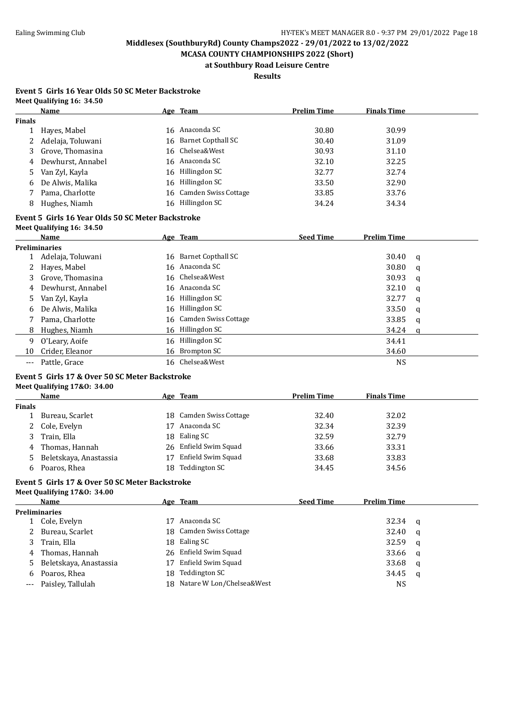**MCASA COUNTY CHAMPIONSHIPS 2022 (Short) at Southbury Road Leisure Centre**

**Results**

#### **Event 5 Girls 16 Year Olds 50 SC Meter Backstroke Meet Qualifying 16: 34.50**

|               | Name              | Age Team                | <b>Prelim Time</b> | <b>Finals Time</b> |
|---------------|-------------------|-------------------------|--------------------|--------------------|
| <b>Finals</b> |                   |                         |                    |                    |
|               | Hayes, Mabel      | 16 Anaconda SC          | 30.80              | 30.99              |
|               | Adelaja, Toluwani | 16 Barnet Copthall SC   | 30.40              | 31.09              |
| 3             | Grove, Thomasina  | 16 Chelsea&West         | 30.93              | 31.10              |
| 4             | Dewhurst, Annabel | 16 Anaconda SC          | 32.10              | 32.25              |
|               | 5 Van Zyl, Kayla  | 16 Hillingdon SC        | 32.77              | 32.74              |
| 6             | De Alwis, Malika  | 16 Hillingdon SC        | 33.50              | 32.90              |
|               | Pama, Charlotte   | 16 Camden Swiss Cottage | 33.85              | 33.76              |
| 8             | Hughes, Niamh     | 16 Hillingdon SC        | 34.24              | 34.34              |
|               |                   |                         |                    |                    |

### **Event 5 Girls 16 Year Olds 50 SC Meter Backstroke**

| Meet Qualifying 16: 34.50 |  |
|---------------------------|--|
|                           |  |

|    | <b>Name</b>        | Age Team                | <b>Seed Time</b> | <b>Prelim Time</b> |          |
|----|--------------------|-------------------------|------------------|--------------------|----------|
|    | Preliminaries      |                         |                  |                    |          |
|    | Adelaja, Toluwani  | 16 Barnet Copthall SC   |                  | 30.40              | <b>a</b> |
| 2  | Hayes, Mabel       | 16 Anaconda SC          |                  | 30.80              | q        |
|    | 3 Grove, Thomasina | 16 Chelsea&West         |                  | 30.93              | <b>a</b> |
| 4  | Dewhurst, Annabel  | 16 Anaconda SC          |                  | 32.10              | q        |
| 5. | Van Zyl, Kayla     | 16 Hillingdon SC        |                  | 32.77              | a        |
| 6  | De Alwis, Malika   | 16 Hillingdon SC        |                  | 33.50              | q        |
|    | Pama, Charlotte    | 16 Camden Swiss Cottage |                  | 33.85              | q        |
| 8  | Hughes, Niamh      | 16 Hillingdon SC        |                  | 34.24              | ി        |
| 9  | O'Leary, Aoife     | 16 Hillingdon SC        |                  | 34.41              |          |
|    | 10 Crider, Eleanor | 16 Brompton SC          |                  | 34.60              |          |
|    | --- Pattle, Grace  | 16 Chelsea&West         |                  | <b>NS</b>          |          |

#### **Event 5 Girls 17 & Over 50 SC Meter Backstroke Meet Qualifying 17&O: 34.00**

| vicci Qualitying 17 |  |
|---------------------|--|
|                     |  |

|               | Name                     |    | Age Team                | <b>Prelim Time</b> | <b>Finals Time</b> |
|---------------|--------------------------|----|-------------------------|--------------------|--------------------|
| <b>Finals</b> |                          |    |                         |                    |                    |
|               | Bureau, Scarlet          |    | 18 Camden Swiss Cottage | 32.40              | 32.02              |
|               | 2 Cole, Evelyn           |    | Anaconda SC             | 32.34              | 32.39              |
|               | 3 Train, Ella            |    | 18 Ealing SC            | 32.59              | 32.79              |
|               | 4 Thomas, Hannah         |    | 26 Enfield Swim Squad   | 33.66              | 33.31              |
|               | 5 Beletskaya, Anastassia | 17 | Enfield Swim Squad      | 33.68              | 33.83              |
| 6             | Poaros, Rhea             |    | 18 Teddington SC        | 34.45              | 34.56              |

#### **Event 5 Girls 17 & Over 50 SC Meter Backstroke Meet Qualifying 17&O: 34.00**

|   | Name                     |      | <u>Age Team</u>              | <b>Seed Time</b> | <b>Prelim Time</b> |     |
|---|--------------------------|------|------------------------------|------------------|--------------------|-----|
|   | <b>Preliminaries</b>     |      |                              |                  |                    |     |
|   | Cole, Evelyn             | 17   | Anaconda SC                  |                  | $32.34$ q          |     |
|   | 2 Bureau, Scarlet        |      | 18 Camden Swiss Cottage      |                  | 32.40              | - a |
| 3 | Train, Ella              |      | 18 Ealing SC                 |                  | 32.59              | - a |
|   | 4 Thomas, Hannah         |      | 26 Enfield Swim Squad        |                  | 33.66              | - a |
|   | 5 Beletskaya, Anastassia | 17   | Enfield Swim Squad           |                  | 33.68              | - a |
| 6 | Poaros, Rhea             | 18 - | <b>Teddington SC</b>         |                  | 34.45              | - a |
|   | --- Paisley, Tallulah    |      | 18 Natare W Lon/Chelsea&West |                  | NS                 |     |
|   |                          |      |                              |                  |                    |     |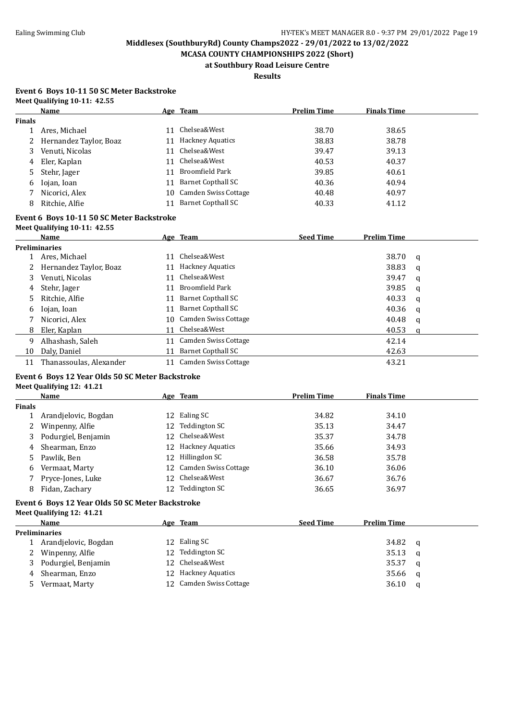**MCASA COUNTY CHAMPIONSHIPS 2022 (Short) at Southbury Road Leisure Centre**

**Results**

#### **Event 6 Boys 10-11 50 SC Meter Backstroke Meet Qualifying 10-11: 42.55**

|                       | Name                   |    | Age Team                  | <b>Prelim Time</b> | <b>Finals Time</b> |  |
|-----------------------|------------------------|----|---------------------------|--------------------|--------------------|--|
| <b>Finals</b>         |                        |    |                           |                    |                    |  |
|                       | Ares, Michael          | 11 | Chelsea&West              | 38.70              | 38.65              |  |
| $\mathbf{2}^{\prime}$ | Hernandez Taylor, Boaz | 11 | <b>Hackney Aquatics</b>   | 38.83              | 38.78              |  |
| 3                     | Venuti, Nicolas        | 11 | Chelsea&West              | 39.47              | 39.13              |  |
| 4                     | Eler, Kaplan           | 11 | Chelsea&West              | 40.53              | 40.37              |  |
| 5                     | Stehr, Jager           | 11 | Broomfield Park           | 39.85              | 40.61              |  |
| b                     | Iojan, Ioan            | 11 | Barnet Copthall SC        | 40.36              | 40.94              |  |
|                       | Nicorici, Alex         | 10 | Camden Swiss Cottage      | 40.48              | 40.97              |  |
| 8                     | Ritchie, Alfie         |    | <b>Barnet Copthall SC</b> | 40.33              | 41.12              |  |

#### **Event 6 Boys 10-11 50 SC Meter Backstroke Meet Qualifying 10-11: 42.55**

|    | $1.1000$ $\sqrt{0.00111}$ , $1.0001$ , $1.0001$ |    |                         |                  |                    |   |  |
|----|-------------------------------------------------|----|-------------------------|------------------|--------------------|---|--|
|    | Name                                            |    | Age Team                | <b>Seed Time</b> | <b>Prelim Time</b> |   |  |
|    | <b>Preliminaries</b>                            |    |                         |                  |                    |   |  |
|    | Ares, Michael                                   | 11 | Chelsea&West            |                  | 38.70              | a |  |
|    | Hernandez Taylor, Boaz                          | 11 | <b>Hackney Aquatics</b> |                  | 38.83              | a |  |
| 3  | Venuti, Nicolas                                 | 11 | Chelsea&West            |                  | 39.47              | a |  |
| 4  | Stehr, Jager                                    | 11 | <b>Broomfield Park</b>  |                  | 39.85              | a |  |
| 5. | Ritchie, Alfie                                  |    | 11 Barnet Copthall SC   |                  | 40.33              | a |  |
| 6  | Iojan, Ioan                                     | 11 | Barnet Copthall SC      |                  | 40.36              | q |  |
|    | Nicorici, Alex                                  |    | 10 Camden Swiss Cottage |                  | 40.48              | q |  |
| 8  | Eler, Kaplan                                    | 11 | Chelsea&West            |                  | 40.53              | a |  |
| 9  | Alhashash, Saleh                                | 11 | Camden Swiss Cottage    |                  | 42.14              |   |  |
| 10 | Daly, Daniel                                    | 11 | Barnet Copthall SC      |                  | 42.63              |   |  |
| 11 | Thanassoulas, Alexander                         |    | Camden Swiss Cottage    |                  | 43.21              |   |  |

# **Event 6 Boys 12 Year Olds 50 SC Meter Backstroke Meet Qualifying 12: 41.21**

|               | Name                  |    | Age Team                | <b>Prelim Time</b> | <b>Finals Time</b> |  |
|---------------|-----------------------|----|-------------------------|--------------------|--------------------|--|
| <b>Finals</b> |                       |    |                         |                    |                    |  |
|               | Arandjelovic, Bogdan  |    | 12 Ealing SC            | 34.82              | 34.10              |  |
|               | 2 Winpenny, Alfie     |    | 12 Teddington SC        | 35.13              | 34.47              |  |
|               | 3 Podurgiel, Benjamin |    | 12 Chelsea&West         | 35.37              | 34.78              |  |
|               | 4 Shearman, Enzo      |    | 12 Hackney Aquatics     | 35.66              | 34.93              |  |
|               | 5 Pawlik, Ben         |    | 12 Hillingdon SC        | 36.58              | 35.78              |  |
|               | 6 Vermaat, Marty      |    | 12 Camden Swiss Cottage | 36.10              | 36.06              |  |
|               | Pryce-Jones, Luke     |    | 12 Chelsea&West         | 36.67              | 36.76              |  |
| 8             | Fidan, Zachary        | 12 | Teddington SC           | 36.65              | 36.97              |  |

### **Event 6 Boys 12 Year Olds 50 SC Meter Backstroke**

**Meet Qualifying 12: 41.21 Name Age Team Seed Time Prelim Time Preliminaries** 1 Arandielovic, Bogdan 12 Ealing SC 34.82 q 2 Winpenny, Alfie 12 Teddington SC 35.13 q 3 Podurgiel, Benjamin 12 Chelsea&West 35.37 q 4 Shearman, Enzo 12 Hackney Aquatics 35.66 q 5 Vermaat, Marty 12 Camden Swiss Cottage 36.10 q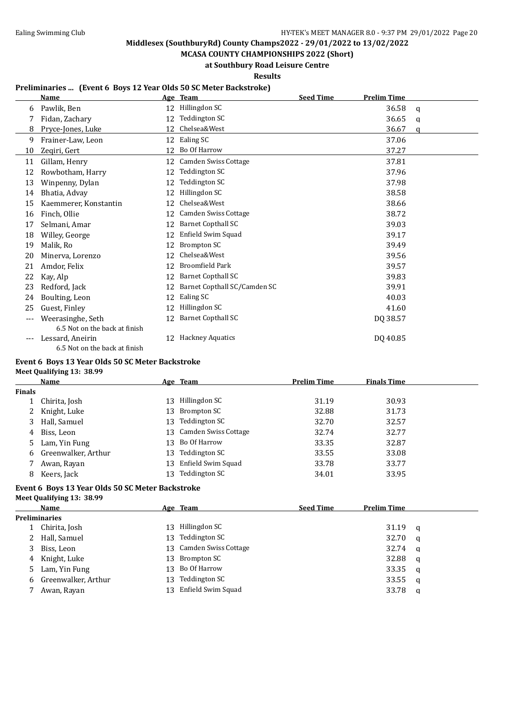**MCASA COUNTY CHAMPIONSHIPS 2022 (Short) at Southbury Road Leisure Centre**

**Results**

### **Preliminaries ... (Event 6 Boys 12 Year Olds 50 SC Meter Backstroke)**

|     | <b>Name</b>                   |    | Age Team                     | <b>Seed Time</b> | <b>Prelim Time</b> |   |
|-----|-------------------------------|----|------------------------------|------------------|--------------------|---|
| 6   | Pawlik, Ben                   | 12 | Hillingdon SC                |                  | 36.58              | a |
|     | Fidan, Zachary                | 12 | Teddington SC                |                  | 36.65              | q |
| 8   | Pryce-Jones, Luke             | 12 | Chelsea&West                 |                  | 36.67              | a |
| 9   | Frainer-Law, Leon             |    | 12 Ealing SC                 |                  | 37.06              |   |
| 10  | Zeqiri, Gert                  | 12 | Bo Of Harrow                 |                  | 37.27              |   |
| 11  | Gillam, Henry                 | 12 | Camden Swiss Cottage         |                  | 37.81              |   |
| 12  | Rowbotham, Harry              | 12 | Teddington SC                |                  | 37.96              |   |
| 13  | Winpenny, Dylan               | 12 | Teddington SC                |                  | 37.98              |   |
| 14  | Bhatia, Advay                 | 12 | Hillingdon SC                |                  | 38.58              |   |
| 15  | Kaemmerer, Konstantin         | 12 | Chelsea&West                 |                  | 38.66              |   |
| 16  | Finch, Ollie                  | 12 | <b>Camden Swiss Cottage</b>  |                  | 38.72              |   |
| 17  | Selmani, Amar                 | 12 | <b>Barnet Copthall SC</b>    |                  | 39.03              |   |
| 18  | Willey, George                | 12 | Enfield Swim Squad           |                  | 39.17              |   |
| 19  | Malik, Ro                     | 12 | Brompton SC                  |                  | 39.49              |   |
| 20  | Minerva, Lorenzo              | 12 | Chelsea&West                 |                  | 39.56              |   |
| 21  | Amdor, Felix                  | 12 | <b>Broomfield Park</b>       |                  | 39.57              |   |
| 22  | Kay, Alp                      | 12 | <b>Barnet Copthall SC</b>    |                  | 39.83              |   |
| 23  | Redford, Jack                 | 12 | Barnet Copthall SC/Camden SC |                  | 39.91              |   |
| 24  | Boulting, Leon                | 12 | Ealing SC                    |                  | 40.03              |   |
| 25  | Guest, Finley                 | 12 | Hillingdon SC                |                  | 41.60              |   |
| --- | Weerasinghe, Seth             | 12 | <b>Barnet Copthall SC</b>    |                  | DQ 38.57           |   |
|     | 6.5 Not on the back at finish |    |                              |                  |                    |   |
|     | Lessard, Aneirin              | 12 | <b>Hackney Aquatics</b>      |                  | DQ 40.85           |   |
|     | 6.5 Not on the back at finish |    |                              |                  |                    |   |

#### **Event 6 Boys 13 Year Olds 50 SC Meter Backstroke Meet Qualifying 13: 38.99**

|                       | <b>Name</b>         |     | Age Team                | <b>Prelim Time</b> | <b>Finals Time</b> |
|-----------------------|---------------------|-----|-------------------------|--------------------|--------------------|
| Finals                |                     |     |                         |                    |                    |
|                       | Chirita, Josh       | 13. | Hillingdon SC           | 31.19              | 30.93              |
| $\mathbf{2}^{\prime}$ | Knight, Luke        |     | 13 Brompton SC          | 32.88              | 31.73              |
| 3                     | Hall, Samuel        | 13. | Teddington SC           | 32.70              | 32.57              |
| 4                     | Biss, Leon          |     | 13 Camden Swiss Cottage | 32.74              | 32.77              |
| 5.                    | Lam, Yin Fung       |     | 13 Bo Of Harrow         | 33.35              | 32.87              |
| 6                     | Greenwalker, Arthur | 13  | Teddington SC           | 33.55              | 33.08              |
|                       | Awan, Rayan         |     | 13 Enfield Swim Squad   | 33.78              | 33.77              |
| 8                     | Keers, Jack         | 13  | Teddington SC           | 34.01              | 33.95              |
|                       |                     |     |                         |                    |                    |

#### **Event 6 Boys 13 Year Olds 50 SC Meter Backstroke Meet Qualifying 13: 38.99**

| Name                  |     | <u>Age Team</u>         | <b>Seed Time</b> | <b>Prelim Time</b> |          |
|-----------------------|-----|-------------------------|------------------|--------------------|----------|
| <b>Preliminaries</b>  |     |                         |                  |                    |          |
| 1 Chirita, Josh       | 13. | Hillingdon SC           |                  | 31.19              | <b>a</b> |
| 2 Hall, Samuel        | 13. | Teddington SC           |                  | 32.70              | <b>a</b> |
| 3 Biss, Leon          |     | 13 Camden Swiss Cottage |                  | 32.74              | <b>a</b> |
| 4 Knight, Luke        | 13. | Brompton SC             |                  | 32.88              | <b>q</b> |
| 5 Lam, Yin Fung       | 13. | Bo Of Harrow            |                  | 33.35              | <b>q</b> |
| 6 Greenwalker, Arthur | 13. | Teddington SC           |                  | 33.55              | q        |
| Awan, Rayan           | 13. | Enfield Swim Squad      |                  | 33.78              | q        |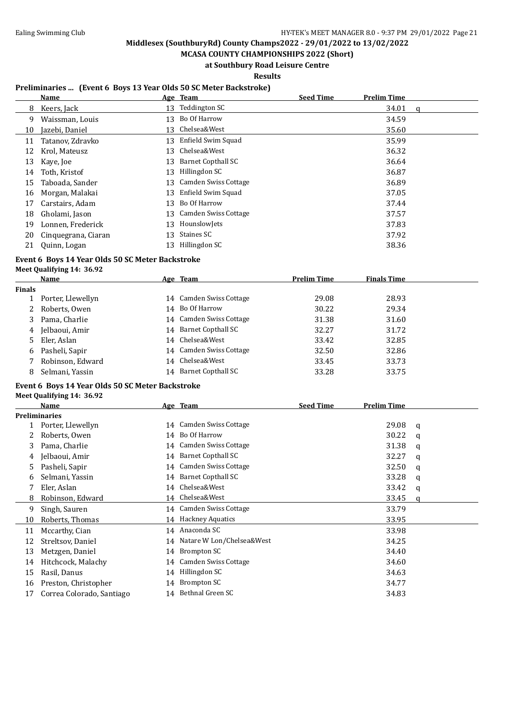**MCASA COUNTY CHAMPIONSHIPS 2022 (Short) at Southbury Road Leisure Centre**

### **Results**

### **Preliminaries ... (Event 6 Boys 13 Year Olds 50 SC Meter Backstroke)**

|    | Name                |    | Age Team                  | <b>Seed Time</b> | <b>Prelim Time</b> |   |
|----|---------------------|----|---------------------------|------------------|--------------------|---|
| 8  | Keers, Jack         | 13 | Teddington SC             |                  | 34.01              | a |
| 9  | Waissman, Louis     | 13 | Bo Of Harrow              |                  | 34.59              |   |
| 10 | Jazebi, Daniel      | 13 | Chelsea&West              |                  | 35.60              |   |
| 11 | Tatanov, Zdravko    | 13 | Enfield Swim Squad        |                  | 35.99              |   |
| 12 | Krol, Mateusz       | 13 | Chelsea&West              |                  | 36.32              |   |
| 13 | Kaye, Joe           | 13 | <b>Barnet Copthall SC</b> |                  | 36.64              |   |
| 14 | Toth, Kristof       | 13 | Hillingdon SC             |                  | 36.87              |   |
| 15 | Taboada, Sander     | 13 | Camden Swiss Cottage      |                  | 36.89              |   |
| 16 | Morgan, Malakai     | 13 | Enfield Swim Squad        |                  | 37.05              |   |
| 17 | Carstairs, Adam     | 13 | Bo Of Harrow              |                  | 37.44              |   |
| 18 | Gholami, Jason      |    | 13 Camden Swiss Cottage   |                  | 37.57              |   |
| 19 | Lonnen, Frederick   | 13 | HounslowJets              |                  | 37.83              |   |
| 20 | Cinquegrana, Ciaran | 13 | Staines SC                |                  | 37.92              |   |
| 21 | Quinn, Logan        | 13 | Hillingdon SC             |                  | 38.36              |   |

# **Event 6 Boys 14 Year Olds 50 SC Meter Backstroke**

| Meet Qualifying 14: 36.92 |  |
|---------------------------|--|
|---------------------------|--|

|               | Name              |    | Age Team                | <b>Prelim Time</b> | <b>Finals Time</b> |  |
|---------------|-------------------|----|-------------------------|--------------------|--------------------|--|
| <b>Finals</b> |                   |    |                         |                    |                    |  |
|               | Porter, Llewellyn |    | 14 Camden Swiss Cottage | 29.08              | 28.93              |  |
|               | Roberts, Owen     |    | 14 Bo Of Harrow         | 30.22              | 29.34              |  |
| 3             | Pama, Charlie     |    | 14 Camden Swiss Cottage | 31.38              | 31.60              |  |
| 4             | Jelbaoui, Amir    |    | 14 Barnet Copthall SC   | 32.27              | 31.72              |  |
| 5             | Eler, Aslan       |    | 14 Chelsea&West         | 33.42              | 32.85              |  |
| 6.            | Pasheli, Sapir    |    | 14 Camden Swiss Cottage | 32.50              | 32.86              |  |
|               | Robinson, Edward  |    | 14 Chelsea&West         | 33.45              | 33.73              |  |
|               | Selmani, Yassin   | 14 | Barnet Copthall SC      | 33.28              | 33.75              |  |

#### **Event 6 Boys 14 Year Olds 50 SC Meter Backstroke**

#### **Meet Qualifying 14: 36.92**

|    | Name                      |    | Age Team                     | <b>Seed Time</b> | <b>Prelim Time</b> |   |
|----|---------------------------|----|------------------------------|------------------|--------------------|---|
|    | <b>Preliminaries</b>      |    |                              |                  |                    |   |
|    | Porter, Llewellyn         |    | 14 Camden Swiss Cottage      |                  | 29.08              | a |
|    | Roberts, Owen             | 14 | Bo Of Harrow                 |                  | 30.22              | a |
| 3  | Pama, Charlie             |    | 14 Camden Swiss Cottage      |                  | 31.38              | a |
| 4  | Jelbaoui, Amir            |    | 14 Barnet Copthall SC        |                  | 32.27              | q |
| 5  | Pasheli, Sapir            |    | 14 Camden Swiss Cottage      |                  | 32.50              | a |
| 6  | Selmani, Yassin           |    | 14 Barnet Copthall SC        |                  | 33.28              | q |
|    | Eler, Aslan               |    | 14 Chelsea&West              |                  | 33.42              | a |
| 8  | Robinson, Edward          |    | 14 Chelsea&West              |                  | 33.45              | a |
| 9  | Singh, Sauren             |    | 14 Camden Swiss Cottage      |                  | 33.79              |   |
| 10 | Roberts, Thomas           |    | 14 Hackney Aquatics          |                  | 33.95              |   |
| 11 | Mccarthy, Cian            |    | 14 Anaconda SC               |                  | 33.98              |   |
| 12 | Streltsov, Daniel         |    | 14 Natare W Lon/Chelsea&West |                  | 34.25              |   |
| 13 | Metzgen, Daniel           |    | 14 Brompton SC               |                  | 34.40              |   |
| 14 | Hitchcock, Malachy        |    | 14 Camden Swiss Cottage      |                  | 34.60              |   |
| 15 | Rasil, Danus              |    | 14 Hillingdon SC             |                  | 34.63              |   |
| 16 | Preston, Christopher      | 14 | Brompton SC                  |                  | 34.77              |   |
| 17 | Correa Colorado, Santiago |    | 14 Bethnal Green SC          |                  | 34.83              |   |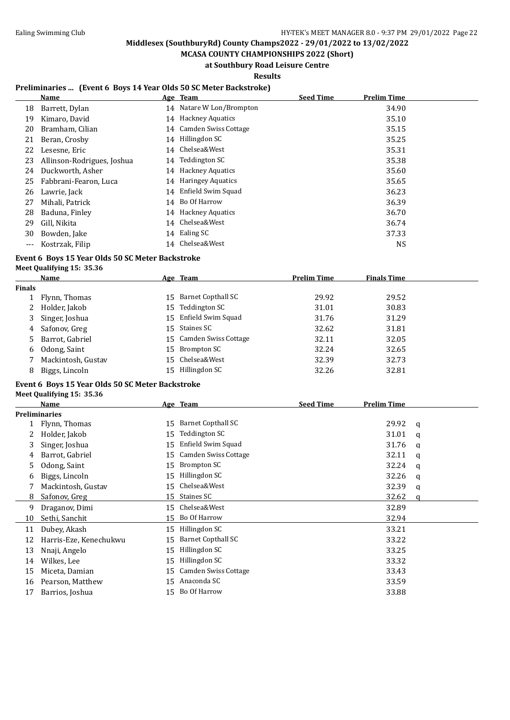$\overline{a}$ 

# **Middlesex (SouthburyRd) County Champs2022 - 29/01/2022 to 13/02/2022**

**MCASA COUNTY CHAMPIONSHIPS 2022 (Short) at Southbury Road Leisure Centre**

**Results**

### **Preliminaries ... (Event 6 Boys 14 Year Olds 50 SC Meter Backstroke)**

|     | Name                       |    | Age Team                 | <b>Seed Time</b> | <b>Prelim Time</b> |
|-----|----------------------------|----|--------------------------|------------------|--------------------|
| 18  | Barrett, Dylan             |    | 14 Natare W Lon/Brompton |                  | 34.90              |
| 19  | Kimaro, David              | 14 | <b>Hackney Aquatics</b>  |                  | 35.10              |
| 20  | Bramham, Cilian            |    | 14 Camden Swiss Cottage  |                  | 35.15              |
| 21  | Beran, Crosby              | 14 | Hillingdon SC            |                  | 35.25              |
| 22  | Lesesne, Eric              | 14 | Chelsea&West             |                  | 35.31              |
| 23  | Allinson-Rodrigues, Joshua | 14 | Teddington SC            |                  | 35.38              |
| 24  | Duckworth, Asher           | 14 | <b>Hackney Aquatics</b>  |                  | 35.60              |
| 25  | Fabbrani-Fearon, Luca      |    | 14 Haringey Aquatics     |                  | 35.65              |
| 26  | Lawrie, Jack               |    | 14 Enfield Swim Squad    |                  | 36.23              |
| 27  | Mihali, Patrick            | 14 | Bo Of Harrow             |                  | 36.39              |
| 28  | Baduna, Finley             | 14 | <b>Hackney Aquatics</b>  |                  | 36.70              |
| 29  | Gill, Nikita               | 14 | Chelsea&West             |                  | 36.74              |
| 30  | Bowden, Jake               | 14 | Ealing SC                |                  | 37.33              |
| --- | Kostrzak, Filip            |    | 14 Chelsea&West          |                  | NS                 |

### **Event 6 Boys 15 Year Olds 50 SC Meter Backstroke Meet Qualifying 15: 35.36**

|               | Name               | Age Team                | <b>Prelim Time</b> | <b>Finals Time</b> |  |
|---------------|--------------------|-------------------------|--------------------|--------------------|--|
| <b>Finals</b> |                    |                         |                    |                    |  |
|               | 1 Flynn, Thomas    | 15 Barnet Copthall SC   | 29.92              | 29.52              |  |
|               | 2 Holder, Jakob    | 15 Teddington SC        | 31.01              | 30.83              |  |
|               | 3 Singer, Joshua   | 15 Enfield Swim Squad   | 31.76              | 31.29              |  |
|               | 4 Safonov, Greg    | 15 Staines SC           | 32.62              | 31.81              |  |
|               | 5 Barrot, Gabriel  | 15 Camden Swiss Cottage | 32.11              | 32.05              |  |
|               | 6 Odong, Saint     | 15 Brompton SC          | 32.24              | 32.65              |  |
|               | Mackintosh, Gustav | 15 Chelsea&West         | 32.39              | 32.73              |  |
| 8             | Biggs, Lincoln     | 15 Hillingdon SC        | 32.26              | 32.81              |  |

### **Event 6 Boys 15 Year Olds 50 SC Meter Backstroke**

**Meet Qualifying 15: 35.36**

|    | <b>Name</b>            |    | Age Team                  | <b>Seed Time</b> | <b>Prelim Time</b> |   |
|----|------------------------|----|---------------------------|------------------|--------------------|---|
|    | <b>Preliminaries</b>   |    |                           |                  |                    |   |
|    | Flynn, Thomas          | 15 | Barnet Copthall SC        |                  | 29.92              | a |
|    | Holder, Jakob          | 15 | Teddington SC             |                  | 31.01              | a |
| 3  | Singer, Joshua         | 15 | Enfield Swim Squad        |                  | 31.76              | a |
| 4  | Barrot, Gabriel        | 15 | Camden Swiss Cottage      |                  | 32.11              | q |
| 5. | Odong, Saint           | 15 | Brompton SC               |                  | 32.24              | a |
| b  | Biggs, Lincoln         | 15 | Hillingdon SC             |                  | 32.26              | q |
|    | Mackintosh, Gustav     | 15 | Chelsea&West              |                  | 32.39              | q |
| 8  | Safonov, Greg          | 15 | Staines SC                |                  | 32.62              | a |
| 9  | Draganov, Dimi         | 15 | Chelsea&West              |                  | 32.89              |   |
| 10 | Sethi, Sanchit         | 15 | Bo Of Harrow              |                  | 32.94              |   |
| 11 | Dubey, Akash           | 15 | Hillingdon SC             |                  | 33.21              |   |
| 12 | Harris-Eze, Kenechukwu | 15 | <b>Barnet Copthall SC</b> |                  | 33.22              |   |
| 13 | Nnaji, Angelo          | 15 | Hillingdon SC             |                  | 33.25              |   |
| 14 | Wilkes, Lee            | 15 | Hillingdon SC             |                  | 33.32              |   |
| 15 | Miceta, Damian         | 15 | Camden Swiss Cottage      |                  | 33.43              |   |
| 16 | Pearson, Matthew       | 15 | Anaconda SC               |                  | 33.59              |   |
| 17 | Barrios, Joshua        | 15 | Bo Of Harrow              |                  | 33.88              |   |
|    |                        |    |                           |                  |                    |   |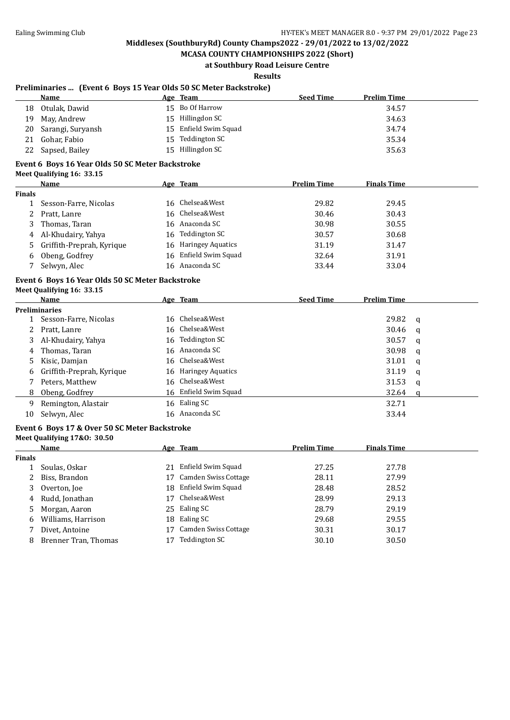### **MCASA COUNTY CHAMPIONSHIPS 2022 (Short) at Southbury Road Leisure Centre**

**Results**

### **Preliminaries ... (Event 6 Boys 15 Year Olds 50 SC Meter Backstroke)**

|    | Name                 | <u>Age Team</u>       | <b>Seed Time</b> | <b>Prelim Time</b> |
|----|----------------------|-----------------------|------------------|--------------------|
| 18 | Otulak, Dawid        | 15 Bo Of Harrow       |                  | 34.57              |
|    | 19 May, Andrew       | 15 Hillingdon SC      |                  | 34.63              |
|    | 20 Sarangi, Suryansh | 15 Enfield Swim Squad |                  | 34.74              |
|    | 21 Gohar, Fabio      | 15 Teddington SC      |                  | 35.34              |
|    | 22 Sapsed, Bailey    | 15 Hillingdon SC      |                  | 35.63              |

#### **Event 6 Boys 16 Year Olds 50 SC Meter Backstroke**

**Meet Qualifying 16: 33.15**

|               | Name                        | Age Team              | <b>Prelim Time</b> | <b>Finals Time</b> |  |
|---------------|-----------------------------|-----------------------|--------------------|--------------------|--|
| <b>Finals</b> |                             |                       |                    |                    |  |
|               | Sesson-Farre, Nicolas       | 16 Chelsea&West       | 29.82              | 29.45              |  |
|               | 2 Pratt, Lanre              | 16 Chelsea&West       | 30.46              | 30.43              |  |
|               | 3 Thomas, Taran             | 16 Anaconda SC        | 30.98              | 30.55              |  |
|               | 4 Al-Khudairy, Yahya        | 16 Teddington SC      | 30.57              | 30.68              |  |
|               | 5 Griffith-Preprah, Kyrique | 16 Haringey Aquatics  | 31.19              | 31.47              |  |
| 6.            | Obeng, Godfrey              | 16 Enfield Swim Squad | 32.64              | 31.91              |  |
|               | Selwyn, Alec                | 16 Anaconda SC        | 33.44              | 33.04              |  |

#### **Event 6 Boys 16 Year Olds 50 SC Meter Backstroke**

#### **Meet Qualifying 16: 33.15**

|                      | Name                        |    | Age Team              | <b>Seed Time</b> | <b>Prelim Time</b> |              |
|----------------------|-----------------------------|----|-----------------------|------------------|--------------------|--------------|
| <b>Preliminaries</b> |                             |    |                       |                  |                    |              |
| $1 \quad$            | Sesson-Farre, Nicolas       |    | 16 Chelsea&West       |                  | 29.82              | $\mathbf{q}$ |
| 2                    | Pratt, Lanre                |    | 16 Chelsea&West       |                  | 30.46              | $\mathbf{q}$ |
|                      | 3 Al-Khudairy, Yahya        |    | 16 Teddington SC      |                  | 30.57              | q            |
| 4                    | Thomas, Taran               |    | 16 Anaconda SC        |                  | 30.98              | q            |
|                      | 5 Kisic, Damjan             |    | 16 Chelsea&West       |                  | 31.01              | q            |
|                      | 6 Griffith-Preprah, Kyrique |    | 16 Haringey Aquatics  |                  | 31.19              | q            |
|                      | Peters, Matthew             |    | 16 Chelsea&West       |                  | 31.53              | q            |
|                      | 8 Obeng, Godfrey            |    | 16 Enfield Swim Squad |                  | 32.64              | a            |
| 9                    | Remington, Alastair         | 16 | Ealing SC             |                  | 32.71              |              |
| 10                   | Selwyn, Alec                |    | 16 Anaconda SC        |                  | 33.44              |              |

#### **Event 6 Boys 17 & Over 50 SC Meter Backstroke**

#### **Meet Qualifying 17&O: 30.50**

|               | Name                 |     | Age Team             | <b>Prelim Time</b> | <b>Finals Time</b> |  |
|---------------|----------------------|-----|----------------------|--------------------|--------------------|--|
| <b>Finals</b> |                      |     |                      |                    |                    |  |
|               | Soulas, Oskar        | 21  | Enfield Swim Squad   | 27.25              | 27.78              |  |
| 2             | Biss, Brandon        | 17  | Camden Swiss Cottage | 28.11              | 27.99              |  |
|               | Overton, Joe         | 18. | Enfield Swim Squad   | 28.48              | 28.52              |  |
|               | 4 Rudd, Jonathan     | 17  | Chelsea&West         | 28.99              | 29.13              |  |
|               | 5 Morgan, Aaron      |     | 25 Ealing SC         | 28.79              | 29.19              |  |
| 6.            | Williams, Harrison   | 18  | Ealing SC            | 29.68              | 29.55              |  |
|               | Divet, Antoine       |     | Camden Swiss Cottage | 30.31              | 30.17              |  |
|               | Brenner Tran, Thomas |     | Teddington SC        | 30.10              | 30.50              |  |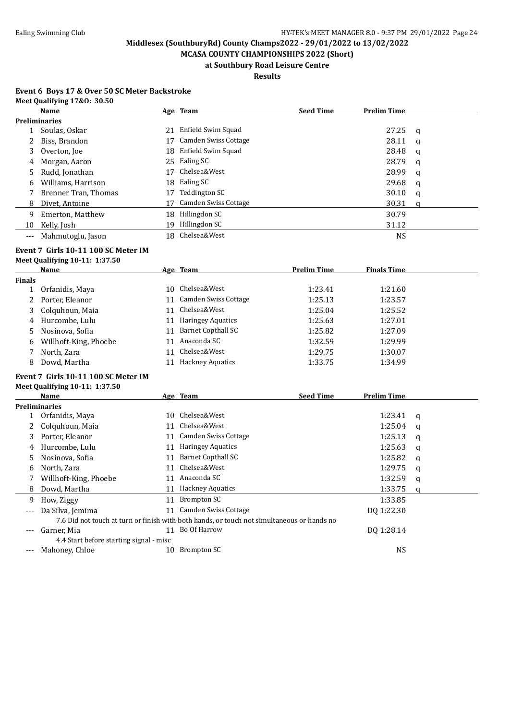**MCASA COUNTY CHAMPIONSHIPS 2022 (Short) at Southbury Road Leisure Centre**

## **Results**

#### **Event 6 Boys 17 & Over 50 SC Meter Backstroke Meet Qualifying 17&O: 30.50**

|          | <b>Name</b>          |    | Age Team             | <b>Seed Time</b> | <b>Prelim Time</b> |   |
|----------|----------------------|----|----------------------|------------------|--------------------|---|
|          | <b>Preliminaries</b> |    |                      |                  |                    |   |
|          | Soulas, Oskar        | 21 | Enfield Swim Squad   |                  | 27.25              | a |
|          | Biss, Brandon        | 17 | Camden Swiss Cottage |                  | 28.11              | q |
| 3        | Overton, Joe         | 18 | Enfield Swim Squad   |                  | 28.48              | a |
| 4        | Morgan, Aaron        |    | 25 Ealing SC         |                  | 28.79              | a |
| 5        | Rudd, Jonathan       | 17 | Chelsea&West         |                  | 28.99              | a |
| 6        | Williams, Harrison   | 18 | Ealing SC            |                  | 29.68              | q |
|          | Brenner Tran, Thomas | 17 | Teddington SC        |                  | 30.10              | a |
| 8        | Divet, Antoine       | 17 | Camden Swiss Cottage |                  | 30.31              | a |
| 9        | Emerton, Matthew     | 18 | Hillingdon SC        |                  | 30.79              |   |
| 10       | Kelly, Josh          | 19 | Hillingdon SC        |                  | 31.12              |   |
| $\cdots$ | Mahmutoglu, Jason    | 18 | Chelsea&West         |                  | <b>NS</b>          |   |

#### **Event 7 Girls 10-11 100 SC Meter IM**

#### **Meet Qualifying 10-11: 1:37.50**

|               | Name                  |     | Age Team                 | <b>Prelim Time</b> | <b>Finals Time</b> |
|---------------|-----------------------|-----|--------------------------|--------------------|--------------------|
| <b>Finals</b> |                       |     |                          |                    |                    |
|               | Orfanidis, Maya       | 10. | Chelsea&West             | 1:23.41            | 1:21.60            |
|               | 2 Porter, Eleanor     | 11  | Camden Swiss Cottage     | 1:25.13            | 1:23.57            |
|               | 3 Colquhoun, Maia     | 11  | Chelsea&West             | 1:25.04            | 1:25.52            |
|               | 4 Hurcombe, Lulu      | 11  | <b>Haringey Aquatics</b> | 1:25.63            | 1:27.01            |
|               | 5 Nosinova, Sofia     | 11  | Barnet Copthall SC       | 1:25.82            | 1:27.09            |
| 6             | Willhoft-King, Phoebe | 11  | Anaconda SC              | 1:32.59            | 1:29.99            |
|               | North, Zara           | 11  | Chelsea&West             | 1:29.75            | 1:30.07            |
| 8             | Dowd, Martha          | 11  | <b>Hackney Aquatics</b>  | 1:33.75            | 1:34.99            |
|               |                       |     |                          |                    |                    |

#### **Event 7 Girls 10-11 100 SC Meter IM Meet Qualifying 10-11: 1:37.50**

 $\overline{a}$ 

|       | Name                                    |    | Age Team                                                                                   | <b>Seed Time</b> | <b>Prelim Time</b> |   |
|-------|-----------------------------------------|----|--------------------------------------------------------------------------------------------|------------------|--------------------|---|
|       | Preliminaries                           |    |                                                                                            |                  |                    |   |
|       | Orfanidis, Maya                         | 10 | Chelsea&West                                                                               |                  | 1:23.41            | a |
| 2     | Colquhoun, Maia                         | 11 | Chelsea&West                                                                               |                  | 1:25.04            | q |
| 3     | Porter, Eleanor                         |    | <b>Camden Swiss Cottage</b>                                                                |                  | 1:25.13            | q |
| 4     | Hurcombe, Lulu                          | 11 | <b>Haringey Aquatics</b>                                                                   |                  | 1:25.63            | a |
| 5     | Nosinova, Sofia                         |    | <b>Barnet Copthall SC</b>                                                                  |                  | 1:25.82            | q |
| 6     | North, Zara                             |    | Chelsea&West                                                                               |                  | 1:29.75            | a |
|       | Willhoft-King, Phoebe                   | 11 | Anaconda SC                                                                                |                  | 1:32.59            | a |
| 8     | Dowd, Martha                            |    | <b>Hackney Aquatics</b>                                                                    |                  | 1:33.75            | a |
| 9     | How, Ziggy                              | 11 | Brompton SC                                                                                |                  | 1:33.85            |   |
| $---$ | Da Silva, Jemima                        |    | Camden Swiss Cottage                                                                       |                  | DO 1:22.30         |   |
|       |                                         |    | 7.6 Did not touch at turn or finish with both hands, or touch not simultaneous or hands no |                  |                    |   |
| ---   | Garner. Mia                             |    | Bo Of Harrow                                                                               |                  | DO 1:28.14         |   |
|       | 4.4 Start before starting signal - misc |    |                                                                                            |                  |                    |   |
|       | Mahoney, Chloe                          | 10 | Brompton SC                                                                                |                  | NS                 |   |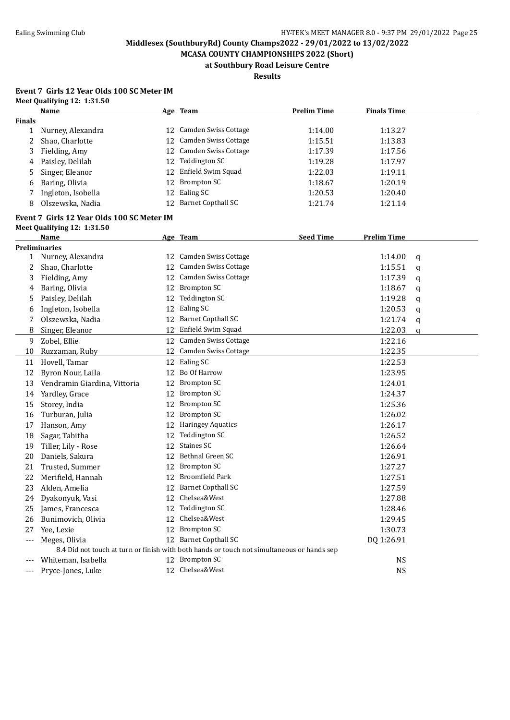**MCASA COUNTY CHAMPIONSHIPS 2022 (Short) at Southbury Road Leisure Centre**

**Results**

#### **Event 7 Girls 12 Year Olds 100 SC Meter IM Meet Qualifying 12: 1:31.50**

|               | Name                                                                                       |    | Age Team                  | <b>Prelim Time</b> | <b>Finals Time</b> |   |
|---------------|--------------------------------------------------------------------------------------------|----|---------------------------|--------------------|--------------------|---|
| <b>Finals</b> |                                                                                            |    |                           |                    |                    |   |
| 1             | Nurney, Alexandra                                                                          |    | 12 Camden Swiss Cottage   | 1:14.00            | 1:13.27            |   |
| 2             | Shao, Charlotte                                                                            |    | 12 Camden Swiss Cottage   | 1:15.51            | 1:13.83            |   |
| 3             | Fielding, Amy                                                                              |    | 12 Camden Swiss Cottage   | 1:17.39            | 1:17.56            |   |
| 4             | Paisley, Delilah                                                                           | 12 | Teddington SC             | 1:19.28            | 1:17.97            |   |
| 5             | Singer, Eleanor                                                                            | 12 | Enfield Swim Squad        | 1:22.03            | 1:19.11            |   |
| 6             | Baring, Olivia                                                                             | 12 | <b>Brompton SC</b>        | 1:18.67            | 1:20.19            |   |
| 7             | Ingleton, Isobella                                                                         | 12 | Ealing SC                 | 1:20.53            | 1:20.40            |   |
| 8             | Olszewska, Nadia                                                                           | 12 | <b>Barnet Copthall SC</b> | 1:21.74            | 1:21.14            |   |
|               | Event 7 Girls 12 Year Olds 100 SC Meter IM                                                 |    |                           |                    |                    |   |
|               | Meet Qualifying 12: 1:31.50                                                                |    |                           |                    |                    |   |
|               | Name                                                                                       |    | Age Team                  | <b>Seed Time</b>   | <b>Prelim Time</b> |   |
|               | <b>Preliminaries</b>                                                                       |    |                           |                    |                    |   |
|               | 1 Nurney, Alexandra                                                                        |    | 12 Camden Swiss Cottage   |                    | 1:14.00            | q |
| 2             | Shao, Charlotte                                                                            |    | 12 Camden Swiss Cottage   |                    | 1:15.51            | q |
| 3             | Fielding, Amy                                                                              | 12 | Camden Swiss Cottage      |                    | 1:17.39            | q |
| 4             | Baring, Olivia                                                                             |    | 12 Brompton SC            |                    | 1:18.67            | q |
| 5             | Paisley, Delilah                                                                           | 12 | <b>Teddington SC</b>      |                    | 1:19.28            | q |
| 6             | Ingleton, Isobella                                                                         |    | 12 Ealing SC              |                    | 1:20.53            | q |
| 7             | Olszewska, Nadia                                                                           |    | 12 Barnet Copthall SC     |                    | 1:21.74            | q |
| 8             | Singer, Eleanor                                                                            |    | 12 Enfield Swim Squad     |                    | 1:22.03            | a |
| 9             | Zobel, Ellie                                                                               |    | 12 Camden Swiss Cottage   |                    | 1:22.16            |   |
| 10            | Ruzzaman, Ruby                                                                             |    | 12 Camden Swiss Cottage   |                    | 1:22.35            |   |
| 11            | Hovell, Tamar                                                                              |    | 12 Ealing SC              |                    | 1:22.53            |   |
| 12            | Byron Nour, Laila                                                                          | 12 | Bo Of Harrow              |                    | 1:23.95            |   |
| 13            | Vendramin Giardina, Vittoria                                                               | 12 | Brompton SC               |                    | 1:24.01            |   |
| 14            | Yardley, Grace                                                                             |    | 12 Brompton SC            |                    | 1:24.37            |   |
| 15            | Storey, India                                                                              | 12 | <b>Brompton SC</b>        |                    | 1:25.36            |   |
| 16            | Turburan, Julia                                                                            | 12 | <b>Brompton SC</b>        |                    | 1:26.02            |   |
| 17            | Hanson, Amy                                                                                |    | 12 Haringey Aquatics      |                    | 1:26.17            |   |
| 18            | Sagar, Tabitha                                                                             | 12 | <b>Teddington SC</b>      |                    | 1:26.52            |   |
| 19            | Tiller, Lily - Rose                                                                        | 12 | Staines SC                |                    | 1:26.64            |   |
| 20            | Daniels, Sakura                                                                            | 12 | Bethnal Green SC          |                    | 1:26.91            |   |
| 21            | Trusted, Summer                                                                            | 12 | <b>Brompton SC</b>        |                    | 1:27.27            |   |
| 22            | Merifield, Hannah                                                                          | 12 | <b>Broomfield Park</b>    |                    | 1:27.51            |   |
| 23            | Alden, Amelia                                                                              |    | 12 Barnet Copthall SC     |                    | 1:27.59            |   |
| 24            | Dyakonyuk, Vasi                                                                            |    | 12 Chelsea&West           |                    | 1:27.88            |   |
| 25            | James, Francesca                                                                           | 12 | Teddington SC             |                    | 1:28.46            |   |
| 26            | Bunimovich, Olivia                                                                         | 12 | Chelsea&West              |                    | 1:29.45            |   |
| 27            | Yee, Lexie                                                                                 | 12 | <b>Brompton SC</b>        |                    | 1:30.73            |   |
| $---$         | Meges, Olivia                                                                              |    | 12 Barnet Copthall SC     |                    | DQ 1:26.91         |   |
|               | 8.4 Did not touch at turn or finish with both hands or touch not simultaneous or hands sep |    |                           |                    |                    |   |
| ---           | Whiteman, Isabella                                                                         | 12 | <b>Brompton SC</b>        |                    | <b>NS</b>          |   |
| $---$         | Pryce-Jones, Luke                                                                          |    | 12 Chelsea&West           |                    | <b>NS</b>          |   |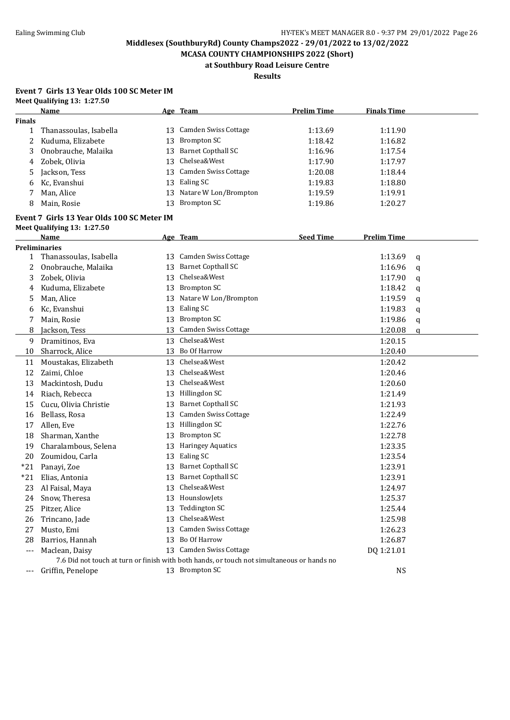**MCASA COUNTY CHAMPIONSHIPS 2022 (Short) at Southbury Road Leisure Centre**

**Results**

#### **Event 7 Girls 13 Year Olds 100 SC Meter IM Meet Qualifying 13: 1:27.50**

|                     | Name                                       |    | Age Team                                                                                   | <b>Prelim Time</b> | <b>Finals Time</b> |              |
|---------------------|--------------------------------------------|----|--------------------------------------------------------------------------------------------|--------------------|--------------------|--------------|
| <b>Finals</b>       |                                            |    |                                                                                            |                    |                    |              |
| 1                   | Thanassoulas, Isabella                     |    | 13 Camden Swiss Cottage                                                                    | 1:13.69            | 1:11.90            |              |
| 2                   | Kuduma, Elizabete                          | 13 | <b>Brompton SC</b>                                                                         | 1:18.42            | 1:16.82            |              |
| 3                   | Onobrauche, Malaika                        | 13 | <b>Barnet Copthall SC</b>                                                                  | 1:16.96            | 1:17.54            |              |
| 4                   | Zobek, Olivia                              | 13 | Chelsea&West                                                                               | 1:17.90            | 1:17.97            |              |
| 5                   | Jackson, Tess                              |    | 13 Camden Swiss Cottage                                                                    | 1:20.08            | 1:18.44            |              |
| 6                   | Kc, Evanshui                               |    | 13 Ealing SC                                                                               | 1:19.83            | 1:18.80            |              |
| 7                   | Man, Alice                                 | 13 | Natare W Lon/Brompton                                                                      | 1:19.59            | 1:19.91            |              |
| 8                   | Main, Rosie                                | 13 | <b>Brompton SC</b>                                                                         | 1:19.86            | 1:20.27            |              |
|                     | Event 7 Girls 13 Year Olds 100 SC Meter IM |    |                                                                                            |                    |                    |              |
|                     | Meet Qualifying 13: 1:27.50                |    |                                                                                            |                    |                    |              |
|                     | Name                                       |    | Age Team                                                                                   | <b>Seed Time</b>   | <b>Prelim Time</b> |              |
|                     | <b>Preliminaries</b>                       |    |                                                                                            |                    |                    |              |
| 1                   | Thanassoulas, Isabella                     |    | 13 Camden Swiss Cottage                                                                    |                    | 1:13.69            | q            |
| 2                   | Onobrauche, Malaika                        |    | 13 Barnet Copthall SC                                                                      |                    | 1:16.96            | q            |
| 3                   | Zobek, Olivia                              | 13 | Chelsea&West                                                                               |                    | 1:17.90            | q            |
| 4                   | Kuduma, Elizabete                          |    | 13 Brompton SC                                                                             |                    | 1:18.42            | q            |
| 5                   | Man, Alice                                 |    | 13 Natare W Lon/Brompton                                                                   |                    | 1:19.59            | q            |
| 6                   | Kc, Evanshui                               |    | 13 Ealing SC                                                                               |                    | 1:19.83            | q            |
| 7                   | Main, Rosie                                | 13 | <b>Brompton SC</b>                                                                         |                    | 1:19.86            | q            |
| 8                   | Jackson, Tess                              | 13 | Camden Swiss Cottage                                                                       |                    | 1:20.08            | $\mathbf{q}$ |
| 9                   | Dramitinos, Eva                            |    | 13 Chelsea&West                                                                            |                    | 1:20.15            |              |
| 10                  | Sharrock, Alice                            |    | 13 Bo Of Harrow                                                                            |                    | 1:20.40            |              |
| 11                  | Moustakas, Elizabeth                       |    | 13 Chelsea&West                                                                            |                    | 1:20.42            |              |
| 12                  | Zaimi, Chloe                               | 13 | Chelsea&West                                                                               |                    | 1:20.46            |              |
| 13                  | Mackintosh, Dudu                           | 13 | Chelsea&West                                                                               |                    | 1:20.60            |              |
| 14                  | Riach, Rebecca                             |    | 13 Hillingdon SC                                                                           |                    | 1:21.49            |              |
| 15                  | Cucu, Olivia Christie                      | 13 | <b>Barnet Copthall SC</b>                                                                  |                    | 1:21.93            |              |
| 16                  | Bellass, Rosa                              | 13 | Camden Swiss Cottage                                                                       |                    | 1:22.49            |              |
| 17                  | Allen, Eve                                 |    | 13 Hillingdon SC                                                                           |                    | 1:22.76            |              |
| 18                  | Sharman, Xanthe                            | 13 | <b>Brompton SC</b>                                                                         |                    | 1:22.78            |              |
| 19                  | Charalambous, Selena                       | 13 | <b>Haringey Aquatics</b>                                                                   |                    | 1:23.35            |              |
| 20                  | Zoumidou, Carla                            | 13 | Ealing SC                                                                                  |                    | 1:23.54            |              |
| $*21$               | Panayi, Zoe                                |    | 13 Barnet Copthall SC                                                                      |                    | 1:23.91            |              |
| $*21$               | Elias, Antonia                             |    | 13 Barnet Copthall SC                                                                      |                    | 1:23.91            |              |
| 23                  | Al Faisal, Maya                            |    | 13 Chelsea&West                                                                            |                    | 1:24.97            |              |
| 24                  | Snow, Theresa                              |    | 13 HounslowJets                                                                            |                    | 1:25.37            |              |
| 25                  | Pitzer, Alice                              | 13 | Teddington SC                                                                              |                    | 1:25.44            |              |
| 26                  | Trincano, Jade                             | 13 | Chelsea&West                                                                               |                    | 1:25.98            |              |
| 27                  | Musto, Emi                                 | 13 | Camden Swiss Cottage                                                                       |                    | 1:26.23            |              |
| 28                  | Barrios, Hannah                            |    | 13 Bo Of Harrow                                                                            |                    | 1:26.87            |              |
| $---$               | Maclean, Daisy                             |    | 13 Camden Swiss Cottage                                                                    |                    | DQ 1:21.01         |              |
|                     |                                            |    | 7.6 Did not touch at turn or finish with both hands, or touch not simultaneous or hands no |                    |                    |              |
| $\qquad \qquad - -$ | Griffin, Penelope                          |    | 13 Brompton SC                                                                             |                    | <b>NS</b>          |              |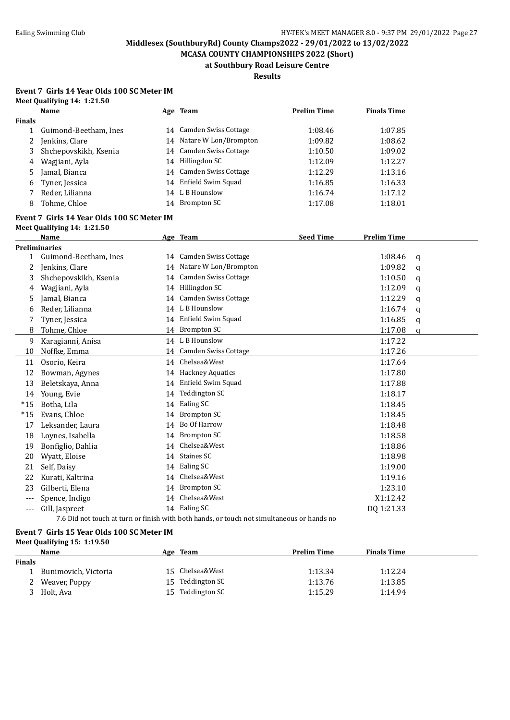**MCASA COUNTY CHAMPIONSHIPS 2022 (Short) at Southbury Road Leisure Centre**

**Results**

#### **Event 7 Girls 14 Year Olds 100 SC Meter IM Meet Qualifying 14: 1:21.50**

|               | <b>Name</b>                                |    | Age Team                                                                                   | <b>Prelim Time</b> | <b>Finals Time</b> |   |  |
|---------------|--------------------------------------------|----|--------------------------------------------------------------------------------------------|--------------------|--------------------|---|--|
| <b>Finals</b> |                                            |    |                                                                                            |                    |                    |   |  |
| $\mathbf{1}$  | Guimond-Beetham, Ines                      |    | 14 Camden Swiss Cottage                                                                    | 1:08.46            | 1:07.85            |   |  |
| 2             | Jenkins, Clare                             |    | 14 Natare W Lon/Brompton                                                                   | 1:09.82            | 1:08.62            |   |  |
| 3             | Shchepovskikh, Ksenia                      |    | 14 Camden Swiss Cottage                                                                    | 1:10.50            | 1:09.02            |   |  |
| 4             | Wagjiani, Ayla                             |    | 14 Hillingdon SC                                                                           | 1:12.09            | 1:12.27            |   |  |
| 5             | Jamal, Bianca                              |    | 14 Camden Swiss Cottage                                                                    | 1:12.29            | 1:13.16            |   |  |
| 6             | Tyner, Jessica                             |    | 14 Enfield Swim Squad                                                                      | 1:16.85            | 1:16.33            |   |  |
| 7             | Reder, Lilianna                            |    | 14 L B Hounslow                                                                            | 1:16.74            | 1:17.12            |   |  |
| 8             | Tohme, Chloe                               |    | 14 Brompton SC                                                                             | 1:17.08            | 1:18.01            |   |  |
|               | Event 7 Girls 14 Year Olds 100 SC Meter IM |    |                                                                                            |                    |                    |   |  |
|               | Meet Qualifying 14: 1:21.50                |    |                                                                                            |                    |                    |   |  |
|               | Name                                       |    | Age Team                                                                                   | <b>Seed Time</b>   | <b>Prelim Time</b> |   |  |
|               | <b>Preliminaries</b>                       |    |                                                                                            |                    |                    |   |  |
| 1             | Guimond-Beetham, Ines                      |    | 14 Camden Swiss Cottage                                                                    |                    | 1:08.46            | q |  |
| 2             | Jenkins, Clare                             |    | 14 Natare W Lon/Brompton                                                                   |                    | 1:09.82            | q |  |
| 3             | Shchepovskikh, Ksenia                      |    | 14 Camden Swiss Cottage                                                                    |                    | 1:10.50            | q |  |
| 4             | Wagjiani, Ayla                             |    | 14 Hillingdon SC                                                                           |                    | 1:12.09            | q |  |
| 5             | Jamal, Bianca                              |    | 14 Camden Swiss Cottage                                                                    |                    | 1:12.29            | q |  |
| 6             | Reder, Lilianna                            |    | 14 L B Hounslow                                                                            |                    | 1:16.74            | q |  |
| 7             | Tyner, Jessica                             |    | 14 Enfield Swim Squad                                                                      |                    | 1:16.85            | q |  |
| 8             | Tohme, Chloe                               |    | 14 Brompton SC                                                                             |                    | 1:17.08            | a |  |
| 9             | Karagianni, Anisa                          |    | 14 L B Hounslow                                                                            |                    | 1:17.22            |   |  |
| 10            | Noffke, Emma                               |    | 14 Camden Swiss Cottage                                                                    |                    | 1:17.26            |   |  |
| 11            | Osorio, Keira                              |    | 14 Chelsea&West                                                                            |                    | 1:17.64            |   |  |
| 12            | Bowman, Agynes                             |    | 14 Hackney Aquatics                                                                        |                    | 1:17.80            |   |  |
| 13            | Beletskaya, Anna                           |    | 14 Enfield Swim Squad                                                                      |                    | 1:17.88            |   |  |
| 14            | Young, Evie                                |    | 14 Teddington SC                                                                           |                    | 1:18.17            |   |  |
| $*15$         | Botha, Lila                                |    | 14 Ealing SC                                                                               |                    | 1:18.45            |   |  |
| $*15$         | Evans, Chloe                               |    | 14 Brompton SC                                                                             |                    | 1:18.45            |   |  |
| 17            | Leksander, Laura                           |    | 14 Bo Of Harrow                                                                            |                    | 1:18.48            |   |  |
| 18            | Loynes, Isabella                           |    | 14 Brompton SC                                                                             |                    | 1:18.58            |   |  |
| 19            | Bonfiglio, Dahlia                          | 14 | Chelsea&West                                                                               |                    | 1:18.86            |   |  |
| 20            | Wyatt, Eloise                              | 14 | Staines SC                                                                                 |                    | 1:18.98            |   |  |
| 21            | Self, Daisy                                |    | 14 Ealing SC                                                                               |                    | 1:19.00            |   |  |
| 22            | Kurati, Kaltrina                           |    | 14 Chelsea&West                                                                            |                    | 1:19.16            |   |  |
| 23            | Gilberti, Elena                            |    | 14 Brompton SC                                                                             |                    | 1:23.10            |   |  |
| $---$         | Spence, Indigo                             |    | 14 Chelsea&West                                                                            |                    | X1:12.42           |   |  |
| $---$         | Gill, Jaspreet                             |    | 14 Ealing SC                                                                               |                    | DQ 1:21.33         |   |  |
|               |                                            |    | 7.6 Did not touch at turn or finish with both hands, or touch not simultaneous or hands no |                    |                    |   |  |

#### **Event 7 Girls 15 Year Olds 100 SC Meter IM**

**Meet Qualifying 15: 1:19.50 Name Age Team Prelim Time Finals Time Finals** 1 Bunimovich, Victoria 15 Chelsea&West 1:13.34 1:12.24 2 Weaver, Poppy 15 Teddington SC 1:13.76 1:13.85 3 Holt, Ava 15 Teddington SC 1:15.29 1:14.94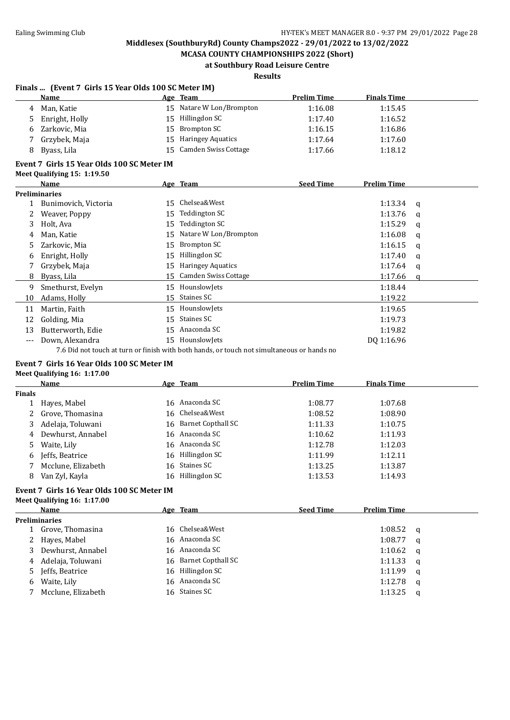**MCASA COUNTY CHAMPIONSHIPS 2022 (Short) at Southbury Road Leisure Centre**

### **Results**

#### **Finals ... (Event 7 Girls 15 Year Olds 100 SC Meter IM)**

|     | Name                                       |    | Age Team                    | <b>Prelim Time</b> | <b>Finals Time</b> |          |  |  |  |
|-----|--------------------------------------------|----|-----------------------------|--------------------|--------------------|----------|--|--|--|
| 4   | Man, Katie                                 | 15 | Natare W Lon/Brompton       | 1:16.08            | 1:15.45            |          |  |  |  |
| 5   | Enright, Holly                             | 15 | Hillingdon SC               | 1:17.40            | 1:16.52            |          |  |  |  |
| 6   | Zarkovic, Mia                              | 15 | Brompton SC                 | 1:16.15            | 1:16.86            |          |  |  |  |
|     | Grzybek, Maja                              | 15 | <b>Haringey Aquatics</b>    | 1:17.64            | 1:17.60            |          |  |  |  |
| 8   | Byass, Lila                                | 15 | Camden Swiss Cottage        | 1:17.66            | 1:18.12            |          |  |  |  |
|     | Event 7 Girls 15 Year Olds 100 SC Meter IM |    |                             |                    |                    |          |  |  |  |
|     | Meet Qualifying 15: 1:19.50                |    |                             |                    |                    |          |  |  |  |
|     | Name                                       |    | Age Team                    | <b>Seed Time</b>   | <b>Prelim Time</b> |          |  |  |  |
|     | <b>Preliminaries</b>                       |    |                             |                    |                    |          |  |  |  |
|     | Bunimovich, Victoria                       | 15 | Chelsea&West                |                    | 1:13.34            | a        |  |  |  |
| 2   | Weaver, Poppy                              | 15 | <b>Teddington SC</b>        |                    | 1:13.76            | a        |  |  |  |
| 3   | Holt, Ava                                  | 15 | <b>Teddington SC</b>        |                    | 1:15.29            | a        |  |  |  |
| 4   | Man, Katie                                 | 15 | Natare W Lon/Brompton       |                    | 1:16.08            | a        |  |  |  |
| 5   | Zarkovic, Mia                              | 15 | Brompton SC                 |                    | 1:16.15            | q        |  |  |  |
| 6   | Enright, Holly                             | 15 | Hillingdon SC               |                    | 1:17.40            | a        |  |  |  |
|     | Grzybek, Maja                              | 15 | <b>Haringey Aquatics</b>    |                    | 1:17.64            | a        |  |  |  |
| 8   | Byass, Lila                                | 15 | <b>Camden Swiss Cottage</b> |                    | 1:17.66            | $\alpha$ |  |  |  |
| 9   | Smethurst, Evelyn                          | 15 | HounslowJets                |                    | 1:18.44            |          |  |  |  |
| 10  | Adams, Holly                               | 15 | Staines SC                  |                    | 1:19.22            |          |  |  |  |
| 11  | Martin, Faith                              | 15 | HounslowJets                |                    | 1:19.65            |          |  |  |  |
| 12  | Golding, Mia                               | 15 | Staines SC                  |                    | 1:19.73            |          |  |  |  |
| 13  | Butterworth, Edie                          | 15 | Anaconda SC                 |                    | 1:19.82            |          |  |  |  |
| --- | Down, Alexandra                            | 15 | HounslowJets                |                    | DQ 1:16.96         |          |  |  |  |
|     |                                            |    |                             |                    |                    |          |  |  |  |

7.6 Did not touch at turn or finish with both hands, or touch not simultaneous or hands no

#### **Event 7 Girls 16 Year Olds 100 SC Meter IM Meet Qualifying 16: 1:17.00**

|               | Name               | Age Team              | <b>Prelim Time</b> | <b>Finals Time</b> |  |
|---------------|--------------------|-----------------------|--------------------|--------------------|--|
| <b>Finals</b> |                    |                       |                    |                    |  |
|               | Hayes, Mabel       | 16 Anaconda SC        | 1:08.77            | 1:07.68            |  |
|               | 2 Grove, Thomasina | 16 Chelsea&West       | 1:08.52            | 1:08.90            |  |
| 3             | Adelaja, Toluwani  | 16 Barnet Copthall SC | 1:11.33            | 1:10.75            |  |
| 4             | Dewhurst, Annabel  | 16 Anaconda SC        | 1:10.62            | 1:11.93            |  |
| 5.            | Waite, Lily        | 16 Anaconda SC        | 1:12.78            | 1:12.03            |  |
| 6             | Jeffs, Beatrice    | 16 Hillingdon SC      | 1:11.99            | 1:12.11            |  |
|               | Mcclune, Elizabeth | 16 Staines SC         | 1:13.25            | 1:13.87            |  |
| 8             | Van Zyl, Kayla     | 16 Hillingdon SC      | 1:13.53            | 1:14.93            |  |

#### **Event 7 Girls 16 Year Olds 100 SC Meter IM Meet Qualifying 16: 1:17.00**

|   | <b>Name</b>          |  | <u>Age Team</u>       | <b>Seed Time</b> | <b>Prelim Time</b> |   |  |  |  |
|---|----------------------|--|-----------------------|------------------|--------------------|---|--|--|--|
|   | <b>Preliminaries</b> |  |                       |                  |                    |   |  |  |  |
|   | Grove, Thomasina     |  | 16 Chelsea&West       |                  | 1:08.52            | a |  |  |  |
|   | 2 Hayes, Mabel       |  | 16 Anaconda SC        |                  | 1:08.77            | a |  |  |  |
|   | 3 Dewhurst, Annabel  |  | 16 Anaconda SC        |                  | 1:10.62            | a |  |  |  |
| 4 | Adelaja, Toluwani    |  | 16 Barnet Copthall SC |                  | 1:11.33            | a |  |  |  |
|   | 5 Jeffs, Beatrice    |  | 16 Hillingdon SC      |                  | 1:11.99            | q |  |  |  |
| 6 | Waite, Lily          |  | 16 Anaconda SC        |                  | 1:12.78            | a |  |  |  |
|   | Mcclune, Elizabeth   |  | 16 Staines SC         |                  | 1:13.25            | a |  |  |  |
|   |                      |  |                       |                  |                    |   |  |  |  |